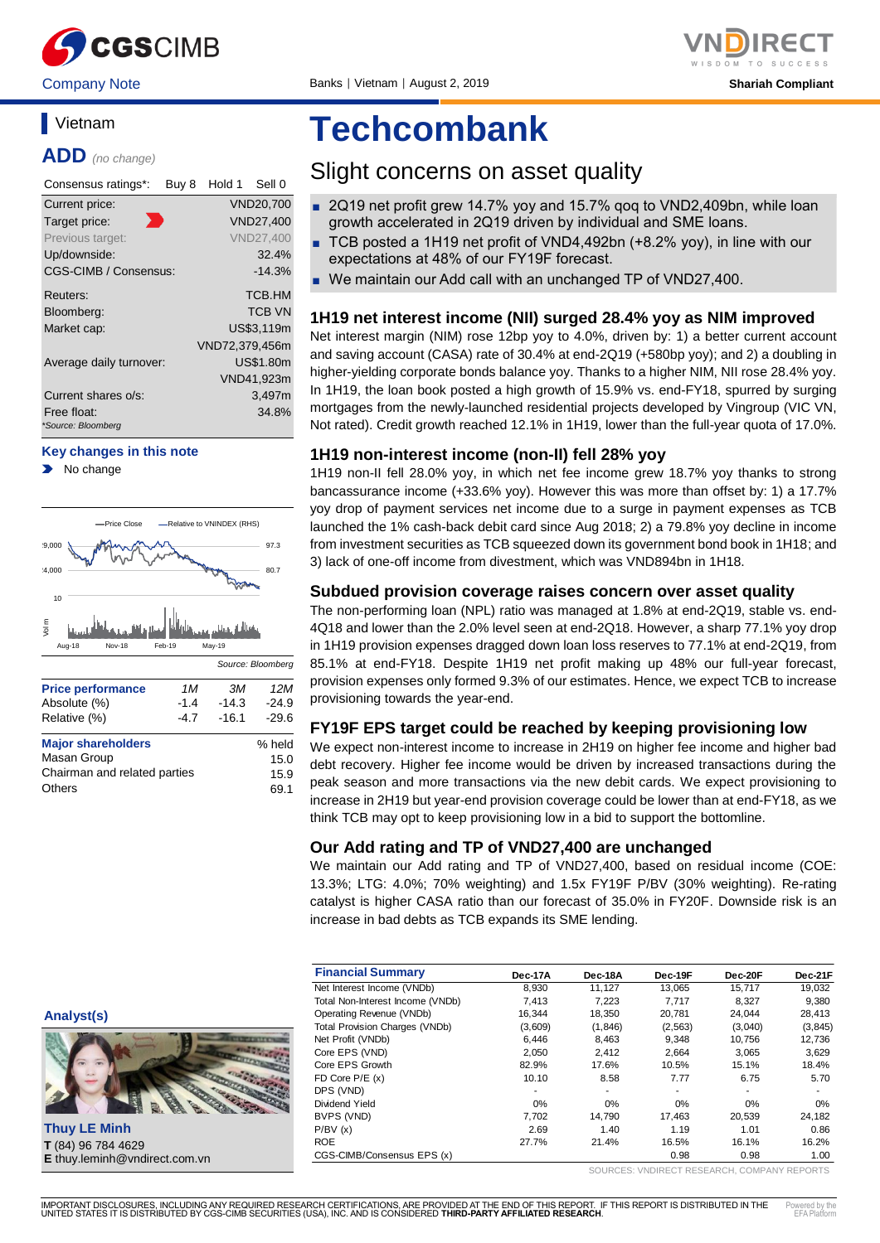

## **Vietnam**

**ADD** *(no change)*

| Consensus ratings*:               | Buy 8 | Hold 1         | Sell 0           |
|-----------------------------------|-------|----------------|------------------|
| Current price:                    |       |                | <b>VND20,700</b> |
| Target price:<br>m.               |       |                | VND27,400        |
| Previous target:                  |       |                | <b>VND27,400</b> |
| Up/downside:                      |       |                | 32.4%            |
| CGS-CIMB / Consensus:             |       |                | $-14.3%$         |
| Reuters:                          |       |                | <b>TCB.HM</b>    |
| Bloomberg:                        |       |                | <b>TCB VN</b>    |
| Market cap:                       |       |                | US\$3,119m       |
|                                   |       | VND72,379,456m |                  |
| Average daily turnover:           |       |                | <b>US\$1.80m</b> |
|                                   |       |                | VND41,923m       |
| Current shares o/s:               |       |                | 3,497m           |
| Free float:<br>*Source: Bloomberg |       |                | 34.8%            |

#### **Key changes in this note**

 $\blacktriangleright$ No change



| Masan Group                  | 15.0 |
|------------------------------|------|
| Chairman and related parties | 15.9 |
| Others                       | 69.1 |

# **Techcombank**

## Slight concerns on asset quality

- 2Q19 net profit grew 14.7% yoy and 15.7% gog to VND2,409bn, while loan growth accelerated in 2Q19 driven by individual and SME loans.
- TCB posted a 1H19 net profit of VND4,492bn (+8.2% yoy), in line with our expectations at 48% of our FY19F forecast.
- We maintain our Add call with an unchanged TP of VND27,400.

### **1H19 net interest income (NII) surged 28.4% yoy as NIM improved**

Net interest margin (NIM) rose 12bp yoy to 4.0%, driven by: 1) a better current account and saving account (CASA) rate of 30.4% at end-2Q19 (+580bp yoy); and 2) a doubling in higher-yielding corporate bonds balance yoy. Thanks to a higher NIM, NII rose 28.4% yoy. In 1H19, the loan book posted a high growth of 15.9% vs. end-FY18, spurred by surging mortgages from the newly-launched residential projects developed by Vingroup (VIC VN, Not rated). Credit growth reached 12.1% in 1H19, lower than the full-year quota of 17.0%.

### **1H19 non-interest income (non-II) fell 28% yoy**

1H19 non-II fell 28.0% yoy, in which net fee income grew 18.7% yoy thanks to strong bancassurance income (+33.6% yoy). However this was more than offset by: 1) a 17.7% yoy drop of payment services net income due to a surge in payment expenses as TCB launched the 1% cash-back debit card since Aug 2018; 2) a 79.8% yoy decline in income from investment securities as TCB squeezed down its government bond book in 1H18; and 3) lack of one-off income from divestment, which was VND894bn in 1H18.

#### **Subdued provision coverage raises concern over asset quality**

The non-performing loan (NPL) ratio was managed at 1.8% at end-2Q19, stable vs. end-4Q18 and lower than the 2.0% level seen at end-2Q18. However, a sharp 77.1% yoy drop in 1H19 provision expenses dragged down loan loss reserves to 77.1% at end-2Q19, from 85.1% at end-FY18. Despite 1H19 net profit making up 48% our full-year forecast, provision expenses only formed 9.3% of our estimates. Hence, we expect TCB to increase provisioning towards the year-end.

#### **FY19F EPS target could be reached by keeping provisioning low**

We expect non-interest income to increase in 2H19 on higher fee income and higher bad debt recovery. Higher fee income would be driven by increased transactions during the peak season and more transactions via the new debit cards. We expect provisioning to increase in 2H19 but year-end provision coverage could be lower than at end-FY18, as we think TCB may opt to keep provisioning low in a bid to support the bottomline.

#### **Our Add rating and TP of VND27,400 are unchanged**

We maintain our Add rating and TP of VND27,400, based on residual income (COE: 13.3%; LTG: 4.0%; 70% weighting) and 1.5x FY19F P/BV (30% weighting). Re-rating catalyst is higher CASA ratio than our forecast of 35.0% in FY20F. Downside risk is an increase in bad debts as TCB expands its SME lending.

| <b>Financial Summary</b>         | Dec-17A | Dec-18A | Dec-19F  | Dec-20F | Dec-21F |
|----------------------------------|---------|---------|----------|---------|---------|
| Net Interest Income (VNDb)       | 8.930   | 11.127  | 13.065   | 15.717  | 19.032  |
| Total Non-Interest Income (VNDb) | 7.413   | 7.223   | 7.717    | 8.327   | 9.380   |
| Operating Revenue (VNDb)         | 16.344  | 18,350  | 20,781   | 24.044  | 28,413  |
| Total Provision Charges (VNDb)   | (3,609) | (1,846) | (2, 563) | (3,040) | (3,845) |
| Net Profit (VNDb)                | 6,446   | 8,463   | 9.348    | 10.756  | 12,736  |
| Core EPS (VND)                   | 2.050   | 2.412   | 2.664    | 3.065   | 3,629   |
| Core EPS Growth                  | 82.9%   | 17.6%   | 10.5%    | 15.1%   | 18.4%   |
| FD Core $P/E(x)$                 | 10.10   | 8.58    | 7.77     | 6.75    | 5.70    |
| DPS (VND)                        | ٠       | ۰       | ٠        | ۰       | ٠       |
| Dividend Yield                   | 0%      | $0\%$   | 0%       | 0%      | $0\%$   |
| BVPS (VND)                       | 7.702   | 14.790  | 17.463   | 20.539  | 24.182  |
| P/BV(x)                          | 2.69    | 1.40    | 1.19     | 1.01    | 0.86    |
| <b>ROE</b>                       | 27.7%   | 21.4%   | 16.5%    | 16.1%   | 16.2%   |
| CGS-CIMB/Consensus EPS (x)       |         |         | 0.98     | 0.98    | 1.00    |

SOURCES: VNDIRECT RESEARCH, COMPANY REPORTS

**Thuy LE Minh T** (84) 96 784 4629 **E** thuy.leminh@vndirect.com.vn

**Analyst(s)**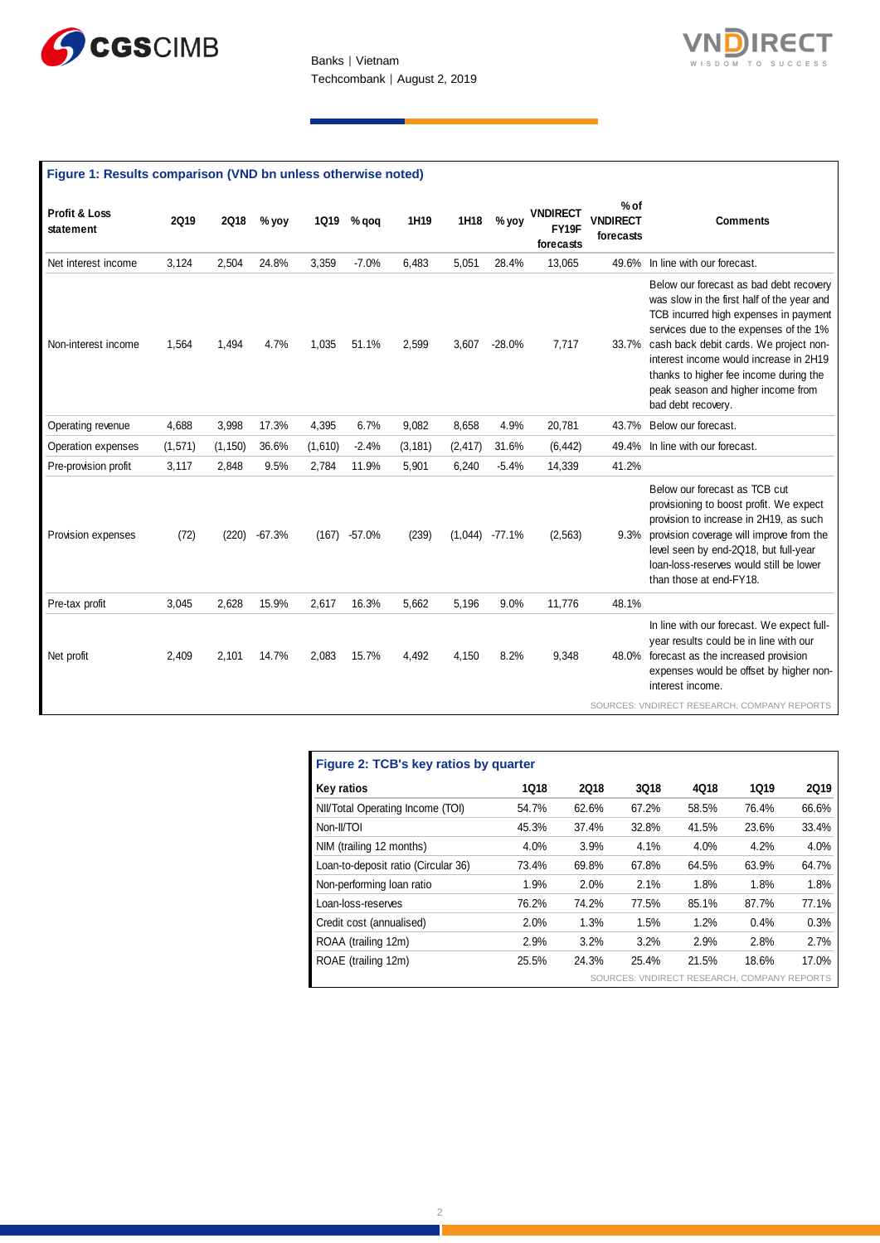



|  | Figure 1: Results comparison (VND bn unless otherwise noted) |
|--|--------------------------------------------------------------|
|--|--------------------------------------------------------------|

| Profit & Loss<br>statement | <b>2Q19</b> | <b>2Q18</b> | % yoy    | <b>1Q19</b> | % qoq    | 1H19     | 1H18     | % yoy    | <b>VNDIRECT</b><br>FY19F<br>forecasts | $%$ of<br><b>VNDIRECT</b><br>forecasts | <b>Comments</b>                                                                                                                                                                                                                                                                                                                                                          |
|----------------------------|-------------|-------------|----------|-------------|----------|----------|----------|----------|---------------------------------------|----------------------------------------|--------------------------------------------------------------------------------------------------------------------------------------------------------------------------------------------------------------------------------------------------------------------------------------------------------------------------------------------------------------------------|
| Net interest income        | 3,124       | 2,504       | 24.8%    | 3,359       | $-7.0%$  | 6,483    | 5,051    | 28.4%    | 13,065                                | 49.6%                                  | In line with our forecast.                                                                                                                                                                                                                                                                                                                                               |
| Non-interest income        | 1,564       | 1,494       | 4.7%     | 1,035       | 51.1%    | 2,599    | 3,607    | $-28.0%$ | 7,717                                 |                                        | Below our forecast as bad debt recovery<br>was slow in the first half of the year and<br>TCB incurred high expenses in payment<br>services due to the expenses of the 1%<br>33.7% cash back debit cards. We project non-<br>interest income would increase in 2H19<br>thanks to higher fee income during the<br>peak season and higher income from<br>bad debt recovery. |
| Operating revenue          | 4.688       | 3.998       | 17.3%    | 4,395       | 6.7%     | 9.082    | 8.658    | 4.9%     | 20,781                                | 43.7%                                  | Below our forecast.                                                                                                                                                                                                                                                                                                                                                      |
| Operation expenses         | (1,571)     | (1, 150)    | 36.6%    | (1,610)     | $-2.4%$  | (3, 181) | (2, 417) | 31.6%    | (6, 442)                              | 49.4%                                  | In line with our forecast.                                                                                                                                                                                                                                                                                                                                               |
| Pre-provision profit       | 3,117       | 2.848       | 9.5%     | 2,784       | 11.9%    | 5,901    | 6.240    | $-5.4%$  | 14,339                                | 41.2%                                  |                                                                                                                                                                                                                                                                                                                                                                          |
| Provision expenses         | (72)        | (220)       | $-67.3%$ | (167)       | $-57.0%$ | (239)    | (1,044)  | $-77.1%$ | (2, 563)                              |                                        | Below our forecast as TCB cut<br>provisioning to boost profit. We expect<br>provision to increase in 2H19, as such<br>9.3% provision coverage will improve from the<br>level seen by end-2Q18, but full-year<br>loan-loss-reserves would still be lower<br>than those at end-FY18.                                                                                       |
| Pre-tax profit             | 3,045       | 2,628       | 15.9%    | 2,617       | 16.3%    | 5,662    | 5,196    | 9.0%     | 11,776                                | 48.1%                                  |                                                                                                                                                                                                                                                                                                                                                                          |
| Net profit                 | 2,409       | 2.101       | 14.7%    | 2,083       | 15.7%    | 4,492    | 4,150    | 8.2%     | 9,348                                 |                                        | In line with our forecast. We expect full-<br>year results could be in line with our<br>48.0% forecast as the increased provision<br>expenses would be offset by higher non-<br>interest income.                                                                                                                                                                         |
|                            |             |             |          |             |          |          |          |          |                                       |                                        | SOURCES: VNDIRECT RESEARCH, COMPANY REPORTS                                                                                                                                                                                                                                                                                                                              |

| Figure 2: TCB's key ratios by quarter |       |             |       |                                             |             |             |  |  |  |  |  |
|---------------------------------------|-------|-------------|-------|---------------------------------------------|-------------|-------------|--|--|--|--|--|
| Key ratios                            | 1018  | <b>2Q18</b> | 3Q18  | 4Q18                                        | <b>1Q19</b> | <b>2Q19</b> |  |  |  |  |  |
| NII/Total Operating Income (TOI)      | 54.7% | 62.6%       | 67.2% | 58.5%                                       | 76.4%       | 66.6%       |  |  |  |  |  |
| Non-II/TOI                            | 45.3% | 37.4%       | 32.8% | 41.5%                                       | 23.6%       | 33.4%       |  |  |  |  |  |
| NIM (trailing 12 months)              | 4.0%  | 3.9%        | 4.1%  | 4.0%                                        | 4.2%        | 4.0%        |  |  |  |  |  |
| Loan-to-deposit ratio (Circular 36)   | 73.4% | 69.8%       | 67.8% | 64.5%                                       | 63.9%       | 64.7%       |  |  |  |  |  |
| Non-performing loan ratio             | 1.9%  | 2.0%        | 2.1%  | 1.8%                                        | 1.8%        | 1.8%        |  |  |  |  |  |
| Loan-loss-reserves                    | 76.2% | 74.2%       | 77.5% | 85.1%                                       | 87.7%       | 77.1%       |  |  |  |  |  |
| Credit cost (annualised)              | 2.0%  | 1.3%        | 1.5%  | 1.2%                                        | 0.4%        | 0.3%        |  |  |  |  |  |
| ROAA (trailing 12m)                   | 2.9%  | 3.2%        | 3.2%  | 2.9%                                        | 2.8%        | 2.7%        |  |  |  |  |  |
| ROAE (trailing 12m)                   | 25.5% | 24.3%       | 25.4% | 21.5%                                       | 18.6%       | 17.0%       |  |  |  |  |  |
|                                       |       |             |       | SOURCES: VNDIRECT RESEARCH, COMPANY REPORTS |             |             |  |  |  |  |  |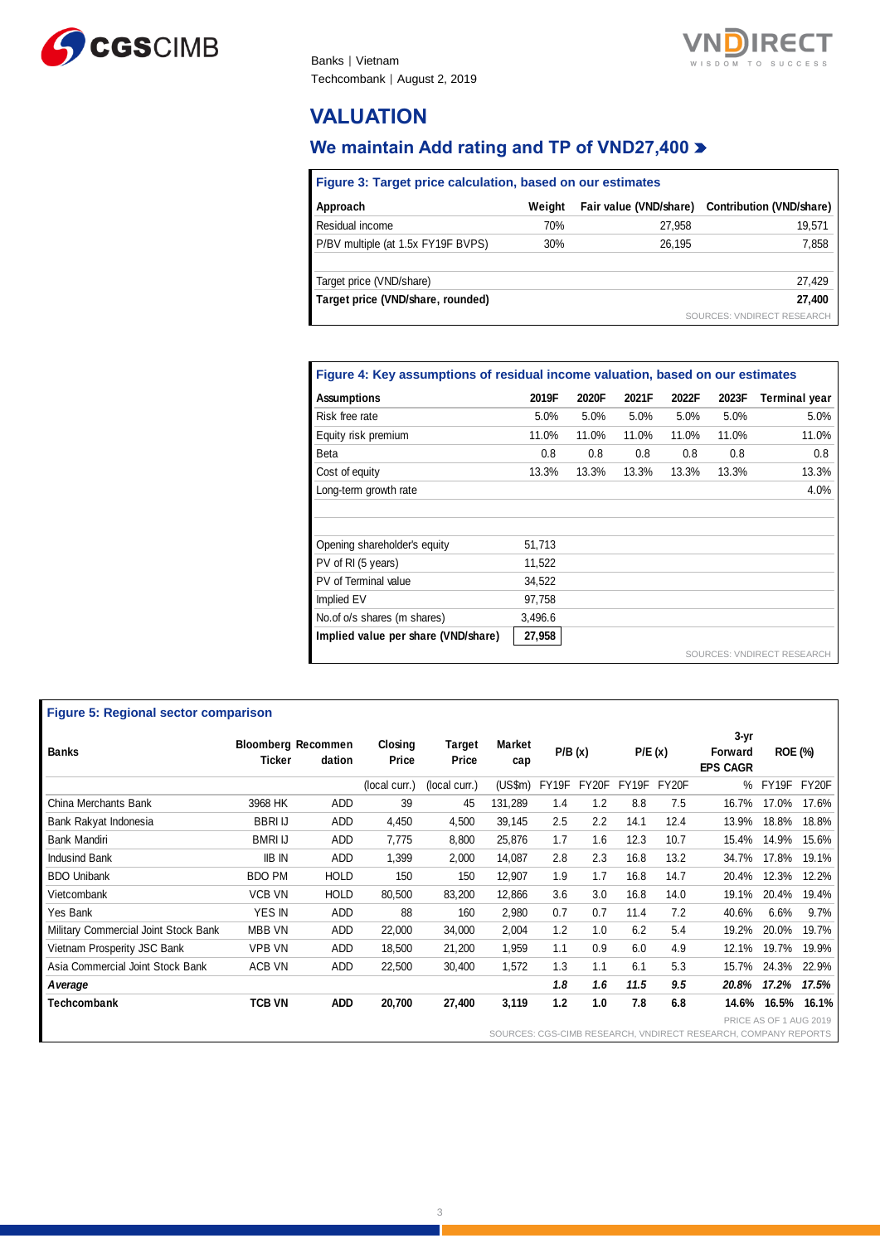



## **VALUATION**

Ē

## **We maintain Add rating and TP of VND27,400**

| Figure 3: Target price calculation, based on our estimates |        |                        |                            |  |  |  |  |  |  |  |
|------------------------------------------------------------|--------|------------------------|----------------------------|--|--|--|--|--|--|--|
| Approach                                                   | Weiaht | Fair value (VND/share) | Contribution (VND/share)   |  |  |  |  |  |  |  |
| Residual income                                            | 70%    | 27,958                 | 19,571                     |  |  |  |  |  |  |  |
| P/BV multiple (at 1.5x FY19F BVPS)                         | 30%    | 26.195                 | 7,858                      |  |  |  |  |  |  |  |
| Target price (VND/share)                                   |        |                        | 27,429                     |  |  |  |  |  |  |  |
| Target price (VND/share, rounded)                          |        |                        | 27.400                     |  |  |  |  |  |  |  |
|                                                            |        |                        | SOURCES: VNDIRECT RESEARCH |  |  |  |  |  |  |  |

## **Figure 4: Key assumptions of residual income valuation, based on our estimates**

| <b>Assumptions</b>                  | 2019F   | 2020F | 2021F | 2022F | 2023F | <b>Terminal year</b>       |
|-------------------------------------|---------|-------|-------|-------|-------|----------------------------|
| Risk free rate                      | 5.0%    | 5.0%  | 5.0%  | 5.0%  | 5.0%  | 5.0%                       |
| Equity risk premium                 | 11.0%   | 11.0% | 11.0% | 11.0% | 11.0% | 11.0%                      |
| <b>Beta</b>                         | 0.8     | 0.8   | 0.8   | 0.8   | 0.8   | 0.8                        |
| Cost of equity                      | 13.3%   | 13.3% | 13.3% | 13.3% | 13.3% | 13.3%                      |
| Long-term growth rate               |         |       |       |       |       | 4.0%                       |
|                                     |         |       |       |       |       |                            |
| Opening shareholder's equity        | 51,713  |       |       |       |       |                            |
| PV of RI (5 years)                  | 11,522  |       |       |       |       |                            |
| PV of Terminal value                | 34,522  |       |       |       |       |                            |
| Implied EV                          | 97,758  |       |       |       |       |                            |
| No.of o/s shares (m shares)         | 3,496.6 |       |       |       |       |                            |
| Implied value per share (VND/share) | 27,958  |       |       |       |       |                            |
|                                     |         |       |       |       |       | SOURCES: VNDIRECT RESEARCH |

| <b>Figure 5: Regional sector comparison</b> |                |                                     |                  |                 |               |        |       |        |       |                                                                  |                        |       |
|---------------------------------------------|----------------|-------------------------------------|------------------|-----------------|---------------|--------|-------|--------|-------|------------------------------------------------------------------|------------------------|-------|
| <b>Banks</b>                                | Ticker         | <b>Bloomberg Recommen</b><br>dation | Closing<br>Price | Target<br>Price | Market<br>сар | P/B(x) |       | P/E(x) |       | 3-yr<br>Forward<br><b>EPS CAGR</b>                               | <b>ROE (%)</b>         |       |
|                                             |                |                                     | (local curr.)    | (local curr.)   | (US\$m)       | FY19F  | FY20F | FY19F  | FY20F | %                                                                | FY19F                  | FY20F |
| China Merchants Bank                        | 3968 HK        | ADD                                 | 39               | 45              | 131,289       | 1.4    | 1.2   | 8.8    | 7.5   | 16.7%                                                            | 17.0%                  | 17.6% |
| Bank Rakyat Indonesia                       | <b>BBRI IJ</b> | ADD                                 | 4,450            | 4,500           | 39,145        | 2.5    | 2.2   | 14.1   | 12.4  | 13.9%                                                            | 18.8%                  | 18.8% |
| <b>Bank Mandiri</b>                         | <b>BMRI IJ</b> | ADD                                 | 7,775            | 8,800           | 25,876        | 1.7    | 1.6   | 12.3   | 10.7  | 15.4%                                                            | 14.9%                  | 15.6% |
| Indusind Bank                               | <b>IIB IN</b>  | <b>ADD</b>                          | 1,399            | 2,000           | 14,087        | 2.8    | 2.3   | 16.8   | 13.2  | 34.7%                                                            | 17.8%                  | 19.1% |
| <b>BDO Unibank</b>                          | <b>BDO PM</b>  | <b>HOLD</b>                         | 150              | 150             | 12,907        | 1.9    | 1.7   | 16.8   | 14.7  | 20.4%                                                            | 12.3%                  | 12.2% |
| Vietcombank                                 | VCB VN         | <b>HOLD</b>                         | 80,500           | 83,200          | 12,866        | 3.6    | 3.0   | 16.8   | 14.0  | 19.1%                                                            | 20.4%                  | 19.4% |
| Yes Bank                                    | YES IN         | ADD                                 | 88               | 160             | 2,980         | 0.7    | 0.7   | 11.4   | 7.2   | 40.6%                                                            | 6.6%                   | 9.7%  |
| Military Commercial Joint Stock Bank        | MBB VN         | ADD                                 | 22,000           | 34,000          | 2,004         | 1.2    | 1.0   | 6.2    | 5.4   | 19.2%                                                            | 20.0%                  | 19.7% |
| Vietnam Prosperity JSC Bank                 | <b>VPB VN</b>  | ADD                                 | 18,500           | 21,200          | 1,959         | 1.1    | 0.9   | 6.0    | 4.9   | 12.1%                                                            | 19.7%                  | 19.9% |
| Asia Commercial Joint Stock Bank            | ACB VN         | ADD                                 | 22,500           | 30,400          | 1,572         | 1.3    | 1.1   | 6.1    | 5.3   | 15.7%                                                            | 24.3%                  | 22.9% |
| A verage                                    |                |                                     |                  |                 |               | 1.8    | 1.6   | 11.5   | 9.5   | 20.8%                                                            | 17.2%                  | 17.5% |
| Techcombank                                 | <b>TCB VN</b>  | <b>ADD</b>                          | 20,700           | 27,400          | 3,119         | 1.2    | 1.0   | 7.8    | 6.8   | 14.6%                                                            | 16.5%                  | 16.1% |
|                                             |                |                                     |                  |                 |               |        |       |        |       | COUDCES: CCS CIMB BESEARCH, VAINIBECT BESEARCH, COMBANIV BERORTS | PRICE AS OF 1 AUG 2019 |       |

SOURCES: CGS-CIMB RESEARCH, VNDIRECT RESEARCH, COMP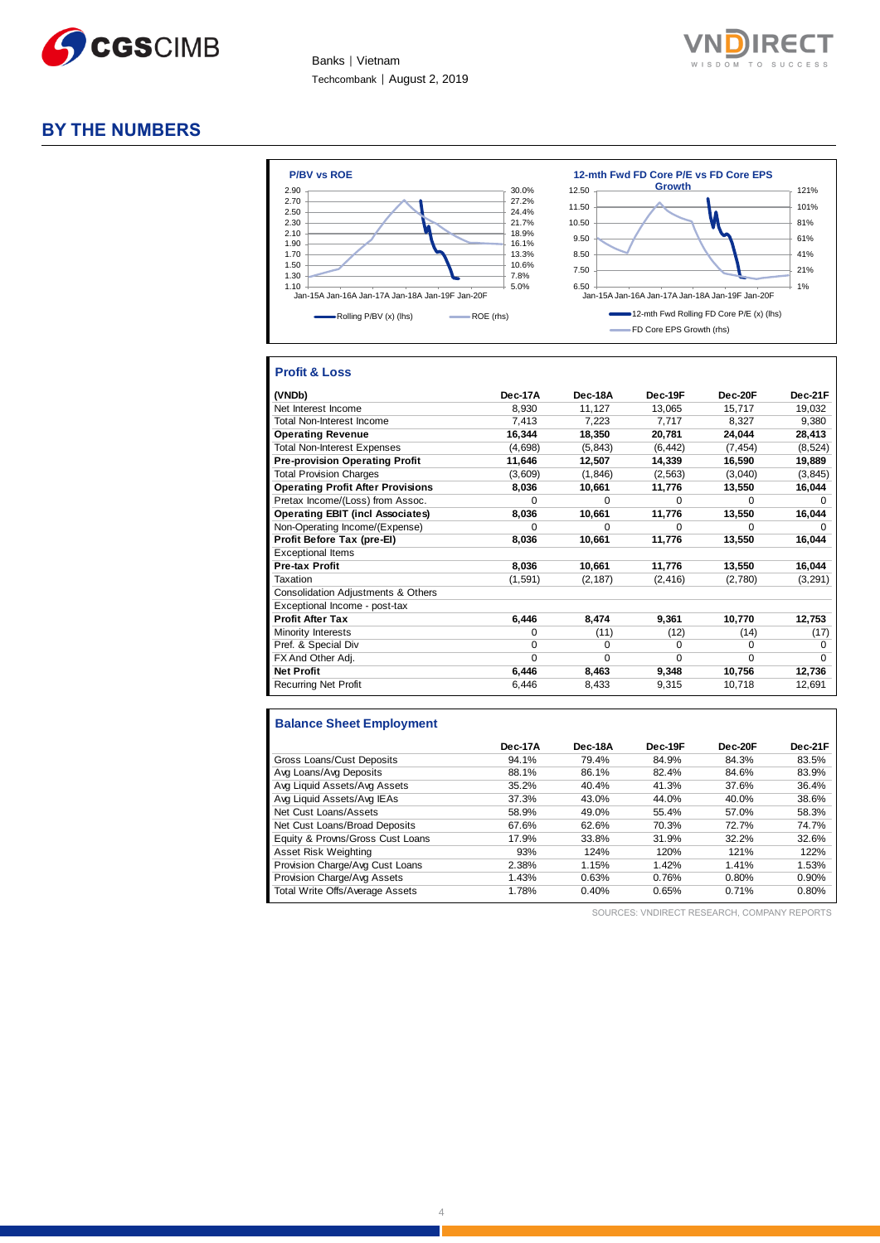

Banks │ Vietnam Techcombank | August 2, 2019



#### **BY THE NUMBERS**



#### **Profit & Loss**

| (VNDb)                                   | Dec-17A  | Dec-18A  | Dec-19F  | Dec-20F  | Dec-21F      |
|------------------------------------------|----------|----------|----------|----------|--------------|
| Net Interest Income                      | 8,930    | 11,127   | 13,065   | 15,717   | 19,032       |
| Total Non-Interest Income                | 7,413    | 7,223    | 7,717    | 8,327    | 9,380        |
| <b>Operating Revenue</b>                 | 16,344   | 18,350   | 20,781   | 24,044   | 28,413       |
| <b>Total Non-Interest Expenses</b>       | (4,698)  | (5, 843) | (6, 442) | (7, 454) | (8, 524)     |
| <b>Pre-provision Operating Profit</b>    | 11,646   | 12,507   | 14,339   | 16,590   | 19,889       |
| <b>Total Provision Charges</b>           | (3,609)  | (1, 846) | (2, 563) | (3,040)  | (3, 845)     |
| <b>Operating Profit After Provisions</b> | 8,036    | 10,661   | 11,776   | 13,550   | 16,044       |
| Pretax Income/(Loss) from Assoc.         | $\Omega$ | $\Omega$ | $\Omega$ | $\Omega$ | <sup>0</sup> |
| <b>Operating EBIT (incl Associates)</b>  | 8,036    | 10,661   | 11,776   | 13,550   | 16,044       |
| Non-Operating Income/(Expense)           | $\Omega$ | $\Omega$ | $\Omega$ | $\Omega$ | U            |
| Profit Before Tax (pre-EI)               | 8,036    | 10,661   | 11,776   | 13,550   | 16,044       |
| <b>Exceptional Items</b>                 |          |          |          |          |              |
| <b>Pre-tax Profit</b>                    | 8,036    | 10,661   | 11,776   | 13,550   | 16,044       |
| Taxation                                 | (1,591)  | (2, 187) | (2, 416) | (2,780)  | (3, 291)     |
| Consolidation Adjustments & Others       |          |          |          |          |              |
| Exceptional Income - post-tax            |          |          |          |          |              |
| <b>Profit After Tax</b>                  | 6,446    | 8,474    | 9,361    | 10,770   | 12,753       |
| Minority Interests                       | 0        | (11)     | (12)     | (14)     | (17)         |
| Pref. & Special Div                      | $\Omega$ | $\Omega$ | $\Omega$ | $\Omega$ | 0            |
| FX And Other Adj.                        | $\Omega$ | $\Omega$ | $\Omega$ | 0        | $\Omega$     |
| <b>Net Profit</b>                        | 6,446    | 8,463    | 9,348    | 10,756   | 12,736       |
| <b>Recurring Net Profit</b>              | 6,446    | 8,433    | 9,315    | 10,718   | 12,691       |

#### **Balance Sheet Employment**

|                                  | Dec-17A | Dec-18A | Dec-19F | Dec-20F | Dec-21F |
|----------------------------------|---------|---------|---------|---------|---------|
| Gross Loans/Cust Deposits        | 94.1%   | 79.4%   | 84.9%   | 84.3%   | 83.5%   |
| Avg Loans/Avg Deposits           | 88.1%   | 86.1%   | 82.4%   | 84.6%   | 83.9%   |
| Avg Liquid Assets/Avg Assets     | 35.2%   | 40.4%   | 41.3%   | 37.6%   | 36.4%   |
| Avg Liquid Assets/Avg IEAs       | 37.3%   | 43.0%   | 44.0%   | 40.0%   | 38.6%   |
| Net Cust Loans/Assets            | 58.9%   | 49.0%   | 55.4%   | 57.0%   | 58.3%   |
| Net Cust Loans/Broad Deposits    | 67.6%   | 62.6%   | 70.3%   | 72.7%   | 74.7%   |
| Equity & Provns/Gross Cust Loans | 17.9%   | 33.8%   | 31.9%   | 32.2%   | 32.6%   |
| Asset Risk Weighting             | 93%     | 124%    | 120%    | 121%    | 122%    |
| Provision Charge/Avg Cust Loans  | 2.38%   | 1.15%   | 1.42%   | 1.41%   | 1.53%   |
| Provision Charge/Avg Assets      | 1.43%   | 0.63%   | 0.76%   | 0.80%   | 0.90%   |
| Total Write Offs/Average Assets  | 1.78%   | 0.40%   | 0.65%   | 0.71%   | 0.80%   |

SOURCES: VNDIRECT RESEARCH, COMPANY REPORTS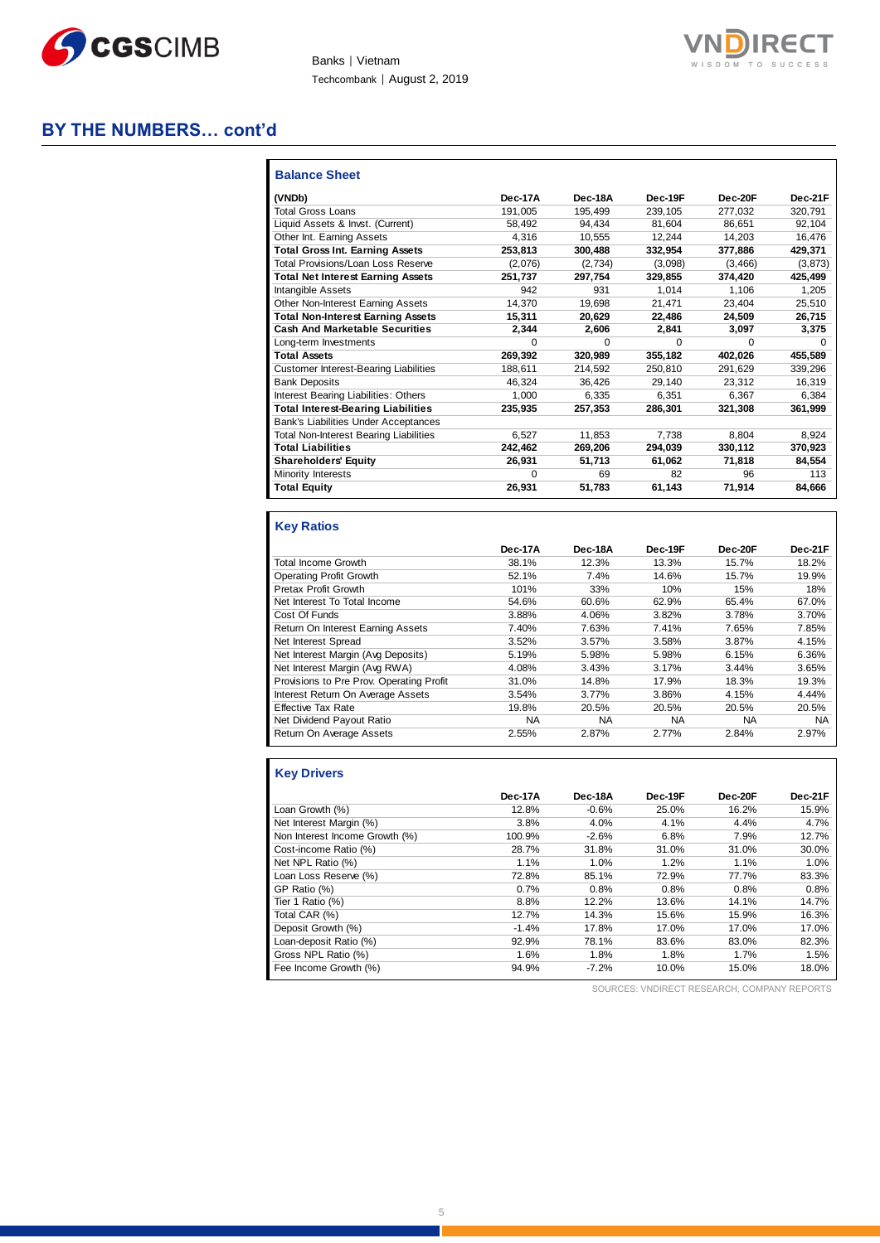

Banks | Vietnam Techcombank | August 2, 2019



## **BY THE NUMBERS… cont'd**

| <b>Balance Sheet</b>                         |          |              |         |              |          |
|----------------------------------------------|----------|--------------|---------|--------------|----------|
| (VNDb)                                       | Dec-17A  | Dec-18A      | Dec-19F | Dec-20F      | Dec-21F  |
| <b>Total Gross Loans</b>                     | 191,005  | 195,499      | 239,105 | 277,032      | 320.791  |
| Liquid Assets & Invst. (Current)             | 58.492   | 94.434       | 81.604  | 86.651       | 92.104   |
| Other Int. Earning Assets                    | 4.316    | 10,555       | 12,244  | 14,203       | 16,476   |
| <b>Total Gross Int. Earning Assets</b>       | 253.813  | 300,488      | 332.954 | 377,886      | 429,371  |
| Total Provisions/Loan Loss Reserve           | (2,076)  | (2,734)      | (3,098) | (3,466)      | (3, 873) |
| <b>Total Net Interest Earning Assets</b>     | 251.737  | 297,754      | 329.855 | 374.420      | 425.499  |
| Intangible Assets                            | 942      | 931          | 1.014   | 1.106        | 1,205    |
| <b>Other Non-Interest Earning Assets</b>     | 14.370   | 19,698       | 21,471  | 23,404       | 25,510   |
| <b>Total Non-Interest Earning Assets</b>     | 15,311   | 20.629       | 22.486  | 24.509       | 26,715   |
| <b>Cash And Marketable Securities</b>        | 2,344    | 2,606        | 2.841   | 3.097        | 3,375    |
| Long-term Investments                        | $\Omega$ | <sup>0</sup> | 0       | <sup>0</sup> | $\Omega$ |
| <b>Total Assets</b>                          | 269.392  | 320,989      | 355.182 | 402.026      | 455.589  |
| <b>Customer Interest-Bearing Liabilities</b> | 188.611  | 214.592      | 250.810 | 291.629      | 339,296  |
| <b>Bank Deposits</b>                         | 46.324   | 36.426       | 29,140  | 23.312       | 16,319   |
| Interest Bearing Liabilities: Others         | 1.000    | 6.335        | 6.351   | 6.367        | 6.384    |
| <b>Total Interest-Bearing Liabilities</b>    | 235,935  | 257,353      | 286,301 | 321,308      | 361,999  |
| Bank's Liabilities Under Acceptances         |          |              |         |              |          |
| Total Non-Interest Bearing Liabilities       | 6,527    | 11.853       | 7.738   | 8.804        | 8,924    |
| <b>Total Liabilities</b>                     | 242,462  | 269,206      | 294,039 | 330.112      | 370,923  |
| <b>Shareholders' Equity</b>                  | 26.931   | 51.713       | 61,062  | 71.818       | 84.554   |
| Minority Interests                           | $\Omega$ | 69           | 82      | 96           | 113      |
| <b>Total Equity</b>                          | 26.931   | 51,783       | 61,143  | 71.914       | 84.666   |

### **Key Ratios**

|                                          | Dec-17A | Dec-18A | Dec-19F | Dec-20F   | Dec-21F   |
|------------------------------------------|---------|---------|---------|-----------|-----------|
| <b>Total Income Growth</b>               | 38.1%   | 12.3%   | 13.3%   | 15.7%     | 18.2%     |
| <b>Operating Profit Growth</b>           | 52.1%   | 7.4%    | 14.6%   | 15.7%     | 19.9%     |
| Pretax Profit Growth                     | 101%    | 33%     | 10%     | 15%       | 18%       |
| Net Interest To Total Income             | 54.6%   | 60.6%   | 62.9%   | 65.4%     | 67.0%     |
| Cost Of Funds                            | 3.88%   | 4.06%   | 3.82%   | 3.78%     | 3.70%     |
| Return On Interest Earning Assets        | 7.40%   | 7.63%   | 7.41%   | 7.65%     | 7.85%     |
| Net Interest Spread                      | 3.52%   | 3.57%   | 3.58%   | 3.87%     | 4.15%     |
| Net Interest Margin (Avg Deposits)       | 5.19%   | 5.98%   | 5.98%   | 6.15%     | 6.36%     |
| Net Interest Margin (Avg RWA)            | 4.08%   | 3.43%   | 3.17%   | 3.44%     | 3.65%     |
| Provisions to Pre Prov. Operating Profit | 31.0%   | 14.8%   | 17.9%   | 18.3%     | 19.3%     |
| Interest Return On Average Assets        | 3.54%   | 3.77%   | 3.86%   | 4.15%     | 4.44%     |
| <b>Effective Tax Rate</b>                | 19.8%   | 20.5%   | 20.5%   | 20.5%     | 20.5%     |
| Net Dividend Payout Ratio                | NА      | NА      | NA      | <b>NA</b> | <b>NA</b> |
| Return On Average Assets                 | 2.55%   | 2.87%   | 2.77%   | 2.84%     | 2.97%     |

### **Key Drivers**

|                                | Dec-17A | Dec-18A | Dec-19F | Dec-20F | Dec-21F |
|--------------------------------|---------|---------|---------|---------|---------|
| Loan Growth (%)                | 12.8%   | $-0.6%$ | 25.0%   | 16.2%   | 15.9%   |
| Net Interest Margin (%)        | 3.8%    | 4.0%    | 4.1%    | 4.4%    | 4.7%    |
| Non Interest Income Growth (%) | 100.9%  | $-2.6%$ | 6.8%    | 7.9%    | 12.7%   |
| Cost-income Ratio (%)          | 28.7%   | 31.8%   | 31.0%   | 31.0%   | 30.0%   |
| Net NPL Ratio (%)              | 1.1%    | 1.0%    | 1.2%    | 1.1%    | 1.0%    |
| Loan Loss Reserve (%)          | 72.8%   | 85.1%   | 72.9%   | 77.7%   | 83.3%   |
| GP Ratio (%)                   | 0.7%    | 0.8%    | 0.8%    | 0.8%    | 0.8%    |
| Tier 1 Ratio (%)               | 8.8%    | 12.2%   | 13.6%   | 14.1%   | 14.7%   |
| Total CAR (%)                  | 12.7%   | 14.3%   | 15.6%   | 15.9%   | 16.3%   |
| Deposit Growth (%)             | $-1.4%$ | 17.8%   | 17.0%   | 17.0%   | 17.0%   |
| Loan-deposit Ratio (%)         | 92.9%   | 78.1%   | 83.6%   | 83.0%   | 82.3%   |
| Gross NPL Ratio (%)            | 1.6%    | 1.8%    | 1.8%    | 1.7%    | 1.5%    |
| Fee Income Growth (%)          | 94.9%   | $-7.2%$ | 10.0%   | 15.0%   | 18.0%   |

SOURCES: VNDIRECT RESEARCH, COMPANY REPORTS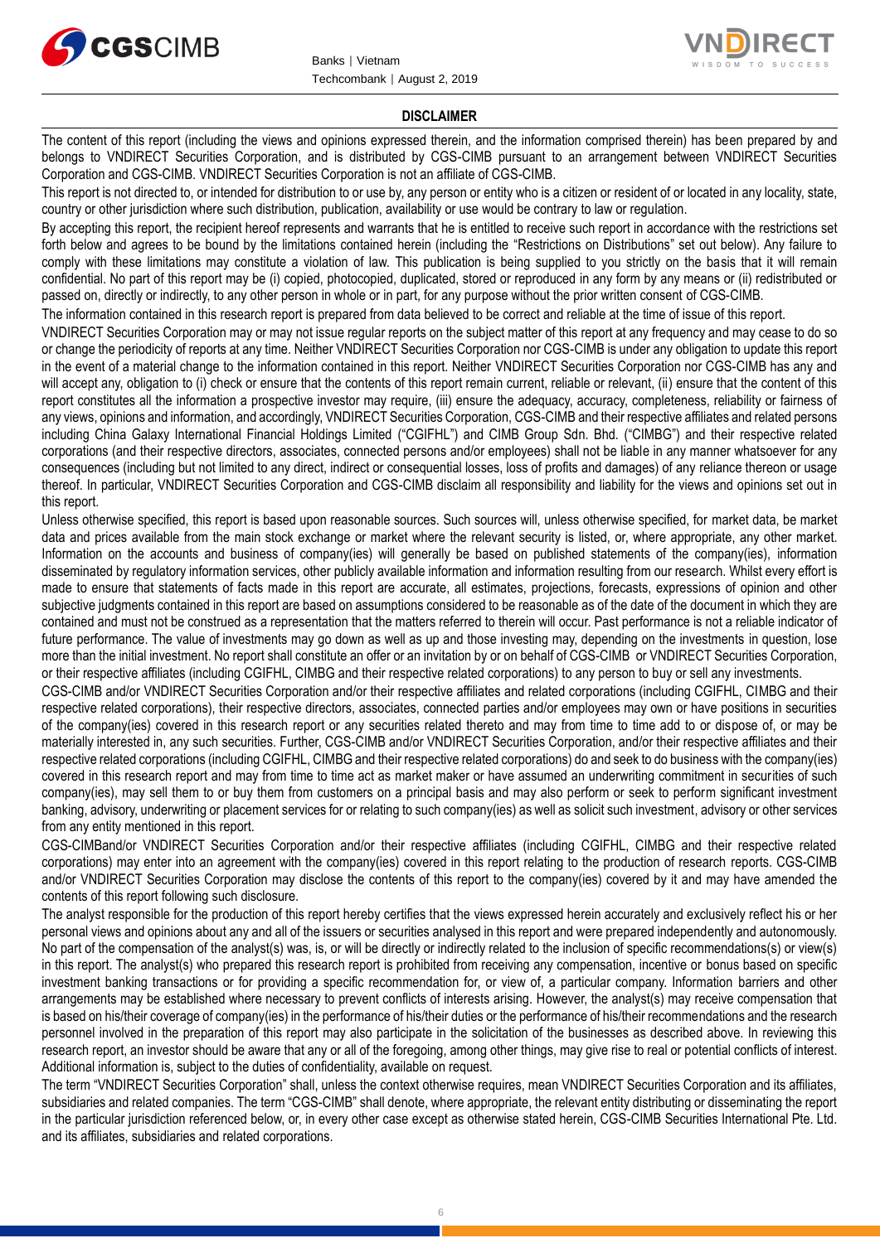



#### **DISCLAIMER**

The content of this report (including the views and opinions expressed therein, and the information comprised therein) has been prepared by and belongs to VNDIRECT Securities Corporation, and is distributed by CGS-CIMB pursuant to an arrangement between VNDIRECT Securities Corporation and CGS-CIMB. VNDIRECT Securities Corporation is not an affiliate of CGS-CIMB.

This report is not directed to, or intended for distribution to or use by, any person or entity who is a citizen or resident of or located in any locality, state, country or other jurisdiction where such distribution, publication, availability or use would be contrary to law or regulation.

By accepting this report, the recipient hereof represents and warrants that he is entitled to receive such report in accordance with the restrictions set forth below and agrees to be bound by the limitations contained herein (including the "Restrictions on Distributions" set out below). Any failure to comply with these limitations may constitute a violation of law. This publication is being supplied to you strictly on the basis that it will remain confidential. No part of this report may be (i) copied, photocopied, duplicated, stored or reproduced in any form by any means or (ii) redistributed or passed on, directly or indirectly, to any other person in whole or in part, for any purpose without the prior written consent of CGS-CIMB.

The information contained in this research report is prepared from data believed to be correct and reliable at the time of issue of this report.

VNDIRECT Securities Corporation may or may not issue regular reports on the subject matter of this report at any frequency and may cease to do so or change the periodicity of reports at any time. Neither VNDIRECT Securities Corporation nor CGS-CIMB is under any obligation to update this report in the event of a material change to the information contained in this report. Neither VNDIRECT Securities Corporation nor CGS-CIMB has any and will accept any, obligation to (i) check or ensure that the contents of this report remain current, reliable or relevant, (ii) ensure that the content of this report constitutes all the information a prospective investor may require, (iii) ensure the adequacy, accuracy, completeness, reliability or fairness of any views, opinions and information, and accordingly, VNDIRECT Securities Corporation, CGS-CIMB and their respective affiliates and related persons including China Galaxy International Financial Holdings Limited ("CGIFHL") and CIMB Group Sdn. Bhd. ("CIMBG") and their respective related corporations (and their respective directors, associates, connected persons and/or employees) shall not be liable in any manner whatsoever for any consequences (including but not limited to any direct, indirect or consequential losses, loss of profits and damages) of any reliance thereon or usage thereof. In particular, VNDIRECT Securities Corporation and CGS-CIMB disclaim all responsibility and liability for the views and opinions set out in this report.

Unless otherwise specified, this report is based upon reasonable sources. Such sources will, unless otherwise specified, for market data, be market data and prices available from the main stock exchange or market where the relevant security is listed, or, where appropriate, any other market. Information on the accounts and business of company(ies) will generally be based on published statements of the company(ies), information disseminated by regulatory information services, other publicly available information and information resulting from our research. Whilst every effort is made to ensure that statements of facts made in this report are accurate, all estimates, projections, forecasts, expressions of opinion and other subjective judgments contained in this report are based on assumptions considered to be reasonable as of the date of the document in which they are contained and must not be construed as a representation that the matters referred to therein will occur. Past performance is not a reliable indicator of future performance. The value of investments may go down as well as up and those investing may, depending on the investments in question, lose more than the initial investment. No report shall constitute an offer or an invitation by or on behalf of CGS-CIMB or VNDIRECT Securities Corporation, or their respective affiliates (including CGIFHL, CIMBG and their respective related corporations) to any person to buy or sell any investments.

CGS-CIMB and/or VNDIRECT Securities Corporation and/or their respective affiliates and related corporations (including CGIFHL, CIMBG and their respective related corporations), their respective directors, associates, connected parties and/or employees may own or have positions in securities of the company(ies) covered in this research report or any securities related thereto and may from time to time add to or dispose of, or may be materially interested in, any such securities. Further, CGS-CIMB and/or VNDIRECT Securities Corporation, and/or their respective affiliates and their respective related corporations (including CGIFHL, CIMBG and their respective related corporations) do and seek to do business with the company(ies) covered in this research report and may from time to time act as market maker or have assumed an underwriting commitment in securities of such company(ies), may sell them to or buy them from customers on a principal basis and may also perform or seek to perform significant investment banking, advisory, underwriting or placement services for or relating to such company(ies) as well as solicit such investment, advisory or other services from any entity mentioned in this report.

CGS-CIMBand/or VNDIRECT Securities Corporation and/or their respective affiliates (including CGIFHL, CIMBG and their respective related corporations) may enter into an agreement with the company(ies) covered in this report relating to the production of research reports. CGS-CIMB and/or VNDIRECT Securities Corporation may disclose the contents of this report to the company(ies) covered by it and may have amended the contents of this report following such disclosure.

The analyst responsible for the production of this report hereby certifies that the views expressed herein accurately and exclusively reflect his or her personal views and opinions about any and all of the issuers or securities analysed in this report and were prepared independently and autonomously. No part of the compensation of the analyst(s) was, is, or will be directly or indirectly related to the inclusion of specific recommendations(s) or view(s) in this report. The analyst(s) who prepared this research report is prohibited from receiving any compensation, incentive or bonus based on specific investment banking transactions or for providing a specific recommendation for, or view of, a particular company. Information barriers and other arrangements may be established where necessary to prevent conflicts of interests arising. However, the analyst(s) may receive compensation that is based on his/their coverage of company(ies) in the performance of his/their duties or the performance of his/their recommendations and the research personnel involved in the preparation of this report may also participate in the solicitation of the businesses as described above. In reviewing this research report, an investor should be aware that any or all of the foregoing, among other things, may give rise to real or potential conflicts of interest. Additional information is, subject to the duties of confidentiality, available on request.

The term "VNDIRECT Securities Corporation" shall, unless the context otherwise requires, mean VNDIRECT Securities Corporation and its affiliates, subsidiaries and related companies. The term "CGS-CIMB" shall denote, where appropriate, the relevant entity distributing or disseminating the report in the particular jurisdiction referenced below, or, in every other case except as otherwise stated herein, CGS-CIMB Securities International Pte. Ltd. and its affiliates, subsidiaries and related corporations.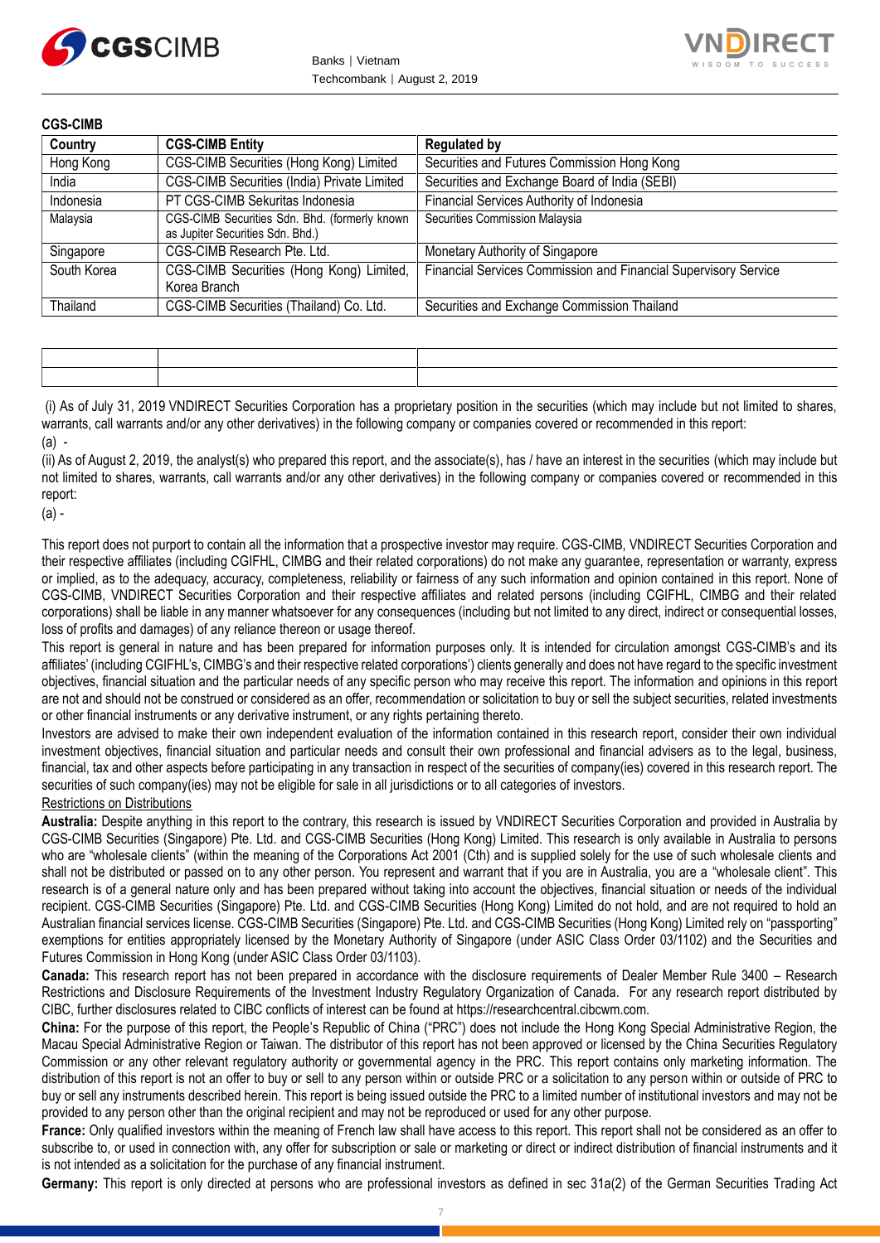



**CGS-CIMB**

| Country     | <b>CGS-CIMB Entity</b>                                                            | <b>Regulated by</b>                                             |
|-------------|-----------------------------------------------------------------------------------|-----------------------------------------------------------------|
| Hong Kong   | CGS-CIMB Securities (Hong Kong) Limited                                           | Securities and Futures Commission Hong Kong                     |
| India       | CGS-CIMB Securities (India) Private Limited                                       | Securities and Exchange Board of India (SEBI)                   |
| Indonesia   | PT CGS-CIMB Sekuritas Indonesia                                                   | Financial Services Authority of Indonesia                       |
| Malaysia    | CGS-CIMB Securities Sdn. Bhd. (formerly known<br>as Jupiter Securities Sdn. Bhd.) | Securities Commission Malaysia                                  |
| Singapore   | CGS-CIMB Research Pte. Ltd.                                                       | Monetary Authority of Singapore                                 |
| South Korea | CGS-CIMB Securities (Hong Kong) Limited,<br>Korea Branch                          | Financial Services Commission and Financial Supervisory Service |
| Thailand    | CGS-CIMB Securities (Thailand) Co. Ltd.                                           | Securities and Exchange Commission Thailand                     |

(i) As of July 31, 2019 VNDIRECT Securities Corporation has a proprietary position in the securities (which may include but not limited to shares, warrants, call warrants and/or any other derivatives) in the following company or companies covered or recommended in this report: (a) -

(ii) As of August 2, 2019, the analyst(s) who prepared this report, and the associate(s), has / have an interest in the securities (which may include but not limited to shares, warrants, call warrants and/or any other derivatives) in the following company or companies covered or recommended in this report:

(a) -

This report does not purport to contain all the information that a prospective investor may require. CGS-CIMB, VNDIRECT Securities Corporation and their respective affiliates (including CGIFHL, CIMBG and their related corporations) do not make any guarantee, representation or warranty, express or implied, as to the adequacy, accuracy, completeness, reliability or fairness of any such information and opinion contained in this report. None of CGS-CIMB, VNDIRECT Securities Corporation and their respective affiliates and related persons (including CGIFHL, CIMBG and their related corporations) shall be liable in any manner whatsoever for any consequences (including but not limited to any direct, indirect or consequential losses, loss of profits and damages) of any reliance thereon or usage thereof.

This report is general in nature and has been prepared for information purposes only. It is intended for circulation amongst CGS-CIMB's and its affiliates' (including CGIFHL's, CIMBG's and their respective related corporations') clients generally and does not have regard to the specific investment objectives, financial situation and the particular needs of any specific person who may receive this report. The information and opinions in this report are not and should not be construed or considered as an offer, recommendation or solicitation to buy or sell the subject securities, related investments or other financial instruments or any derivative instrument, or any rights pertaining thereto.

Investors are advised to make their own independent evaluation of the information contained in this research report, consider their own individual investment objectives, financial situation and particular needs and consult their own professional and financial advisers as to the legal, business, financial, tax and other aspects before participating in any transaction in respect of the securities of company(ies) covered in this research report. The securities of such company(ies) may not be eligible for sale in all jurisdictions or to all categories of investors.

Restrictions on Distributions

**Australia:** Despite anything in this report to the contrary, this research is issued by VNDIRECT Securities Corporation and provided in Australia by CGS-CIMB Securities (Singapore) Pte. Ltd. and CGS-CIMB Securities (Hong Kong) Limited. This research is only available in Australia to persons who are "wholesale clients" (within the meaning of the Corporations Act 2001 (Cth) and is supplied solely for the use of such wholesale clients and shall not be distributed or passed on to any other person. You represent and warrant that if you are in Australia, you are a "wholesale client". This research is of a general nature only and has been prepared without taking into account the objectives, financial situation or needs of the individual recipient. CGS-CIMB Securities (Singapore) Pte. Ltd. and CGS-CIMB Securities (Hong Kong) Limited do not hold, and are not required to hold an Australian financial services license. CGS-CIMB Securities (Singapore) Pte. Ltd. and CGS-CIMB Securities (Hong Kong) Limited rely on "passporting" exemptions for entities appropriately licensed by the Monetary Authority of Singapore (under ASIC Class Order 03/1102) and the Securities and Futures Commission in Hong Kong (under ASIC Class Order 03/1103).

**Canada:** This research report has not been prepared in accordance with the disclosure requirements of Dealer Member Rule 3400 – Research Restrictions and Disclosure Requirements of the Investment Industry Regulatory Organization of Canada. For any research report distributed by CIBC, further disclosures related to CIBC conflicts of interest can be found at https://researchcentral.cibcwm.com.

**China:** For the purpose of this report, the People's Republic of China ("PRC") does not include the Hong Kong Special Administrative Region, the Macau Special Administrative Region or Taiwan. The distributor of this report has not been approved or licensed by the China Securities Regulatory Commission or any other relevant regulatory authority or governmental agency in the PRC. This report contains only marketing information. The distribution of this report is not an offer to buy or sell to any person within or outside PRC or a solicitation to any person within or outside of PRC to buy or sell any instruments described herein. This report is being issued outside the PRC to a limited number of institutional investors and may not be provided to any person other than the original recipient and may not be reproduced or used for any other purpose.

**France:** Only qualified investors within the meaning of French law shall have access to this report. This report shall not be considered as an offer to subscribe to, or used in connection with, any offer for subscription or sale or marketing or direct or indirect distribution of financial instruments and it is not intended as a solicitation for the purchase of any financial instrument.

**Germany:** This report is only directed at persons who are professional investors as defined in sec 31a(2) of the German Securities Trading Act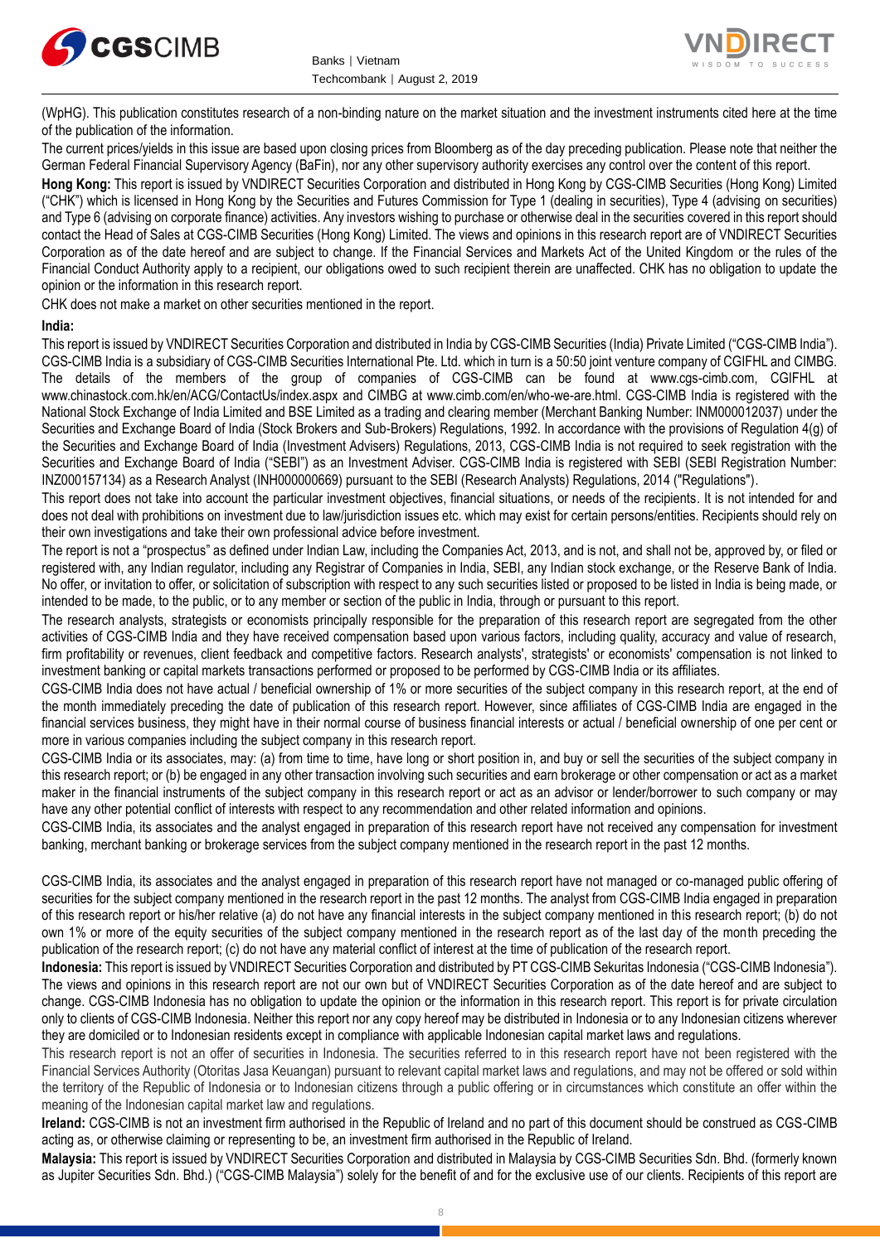



(WpHG). This publication constitutes research of a non-binding nature on the market situation and the investment instruments cited here at the time of the publication of the information.

The current prices/yields in this issue are based upon closing prices from Bloomberg as of the day preceding publication. Please note that neither the German Federal Financial Supervisory Agency (BaFin), nor any other supervisory authority exercises any control over the content of this report.

**Hong Kong:** This report is issued by VNDIRECT Securities Corporation and distributed in Hong Kong by CGS-CIMB Securities (Hong Kong) Limited ("CHK") which is licensed in Hong Kong by the Securities and Futures Commission for Type 1 (dealing in securities), Type 4 (advising on securities) and Type 6 (advising on corporate finance) activities. Any investors wishing to purchase or otherwise deal in the securities covered in this report should contact the Head of Sales at CGS-CIMB Securities (Hong Kong) Limited. The views and opinions in this research report are of VNDIRECT Securities Corporation as of the date hereof and are subject to change. If the Financial Services and Markets Act of the United Kingdom or the rules of the Financial Conduct Authority apply to a recipient, our obligations owed to such recipient therein are unaffected. CHK has no obligation to update the opinion or the information in this research report.

CHK does not make a market on other securities mentioned in the report.

#### **India:**

This report is issued by VNDIRECT Securities Corporation and distributed in India by CGS-CIMB Securities (India) Private Limited ("CGS-CIMB India"). CGS-CIMB India is a subsidiary of CGS-CIMB Securities International Pte. Ltd. which in turn is a 50:50 joint venture company of CGIFHL and CIMBG. The details of the members of the group of companies of CGS-CIMB can be found at www.cgs-cimb.com, CGIFHL at www.chinastock.com.hk/en/ACG/ContactUs/index.aspx and CIMBG at www.cimb.com/en/who-we-are.html. CGS-CIMB India is registered with the National Stock Exchange of India Limited and BSE Limited as a trading and clearing member (Merchant Banking Number: INM000012037) under the Securities and Exchange Board of India (Stock Brokers and Sub-Brokers) Regulations, 1992. In accordance with the provisions of Regulation 4(g) of the Securities and Exchange Board of India (Investment Advisers) Regulations, 2013, CGS-CIMB India is not required to seek registration with the Securities and Exchange Board of India ("SEBI") as an Investment Adviser. CGS-CIMB India is registered with SEBI (SEBI Registration Number: INZ000157134) as a Research Analyst (INH000000669) pursuant to the SEBI (Research Analysts) Regulations, 2014 ("Regulations").

This report does not take into account the particular investment objectives, financial situations, or needs of the recipients. It is not intended for and does not deal with prohibitions on investment due to law/jurisdiction issues etc. which may exist for certain persons/entities. Recipients should rely on their own investigations and take their own professional advice before investment.

The report is not a "prospectus" as defined under Indian Law, including the Companies Act, 2013, and is not, and shall not be, approved by, or filed or registered with, any Indian regulator, including any Registrar of Companies in India, SEBI, any Indian stock exchange, or the Reserve Bank of India. No offer, or invitation to offer, or solicitation of subscription with respect to any such securities listed or proposed to be listed in India is being made, or intended to be made, to the public, or to any member or section of the public in India, through or pursuant to this report.

The research analysts, strategists or economists principally responsible for the preparation of this research report are segregated from the other activities of CGS-CIMB India and they have received compensation based upon various factors, including quality, accuracy and value of research, firm profitability or revenues, client feedback and competitive factors. Research analysts', strategists' or economists' compensation is not linked to investment banking or capital markets transactions performed or proposed to be performed by CGS-CIMB India or its affiliates.

CGS-CIMB India does not have actual / beneficial ownership of 1% or more securities of the subject company in this research report, at the end of the month immediately preceding the date of publication of this research report. However, since affiliates of CGS-CIMB India are engaged in the financial services business, they might have in their normal course of business financial interests or actual / beneficial ownership of one per cent or more in various companies including the subject company in this research report.

CGS-CIMB India or its associates, may: (a) from time to time, have long or short position in, and buy or sell the securities of the subject company in this research report; or (b) be engaged in any other transaction involving such securities and earn brokerage or other compensation or act as a market maker in the financial instruments of the subject company in this research report or act as an advisor or lender/borrower to such company or may have any other potential conflict of interests with respect to any recommendation and other related information and opinions.

CGS-CIMB India, its associates and the analyst engaged in preparation of this research report have not received any compensation for investment banking, merchant banking or brokerage services from the subject company mentioned in the research report in the past 12 months.

CGS-CIMB India, its associates and the analyst engaged in preparation of this research report have not managed or co-managed public offering of securities for the subject company mentioned in the research report in the past 12 months. The analyst from CGS-CIMB India engaged in preparation of this research report or his/her relative (a) do not have any financial interests in the subject company mentioned in this research report; (b) do not own 1% or more of the equity securities of the subject company mentioned in the research report as of the last day of the month preceding the publication of the research report; (c) do not have any material conflict of interest at the time of publication of the research report.

**Indonesia:** This report is issued by VNDIRECT Securities Corporation and distributed by PT CGS-CIMB Sekuritas Indonesia ("CGS-CIMB Indonesia"). The views and opinions in this research report are not our own but of VNDIRECT Securities Corporation as of the date hereof and are subject to change. CGS-CIMB Indonesia has no obligation to update the opinion or the information in this research report. This report is for private circulation only to clients of CGS-CIMB Indonesia. Neither this report nor any copy hereof may be distributed in Indonesia or to any Indonesian citizens wherever they are domiciled or to Indonesian residents except in compliance with applicable Indonesian capital market laws and regulations.

This research report is not an offer of securities in Indonesia. The securities referred to in this research report have not been registered with the Financial Services Authority (Otoritas Jasa Keuangan) pursuant to relevant capital market laws and regulations, and may not be offered or sold within the territory of the Republic of Indonesia or to Indonesian citizens through a public offering or in circumstances which constitute an offer within the meaning of the Indonesian capital market law and regulations.

**Ireland:** CGS-CIMB is not an investment firm authorised in the Republic of Ireland and no part of this document should be construed as CGS-CIMB acting as, or otherwise claiming or representing to be, an investment firm authorised in the Republic of Ireland.

**Malaysia:** This report is issued by VNDIRECT Securities Corporation and distributed in Malaysia by CGS-CIMB Securities Sdn. Bhd. (formerly known as Jupiter Securities Sdn. Bhd.) ("CGS-CIMB Malaysia") solely for the benefit of and for the exclusive use of our clients. Recipients of this report are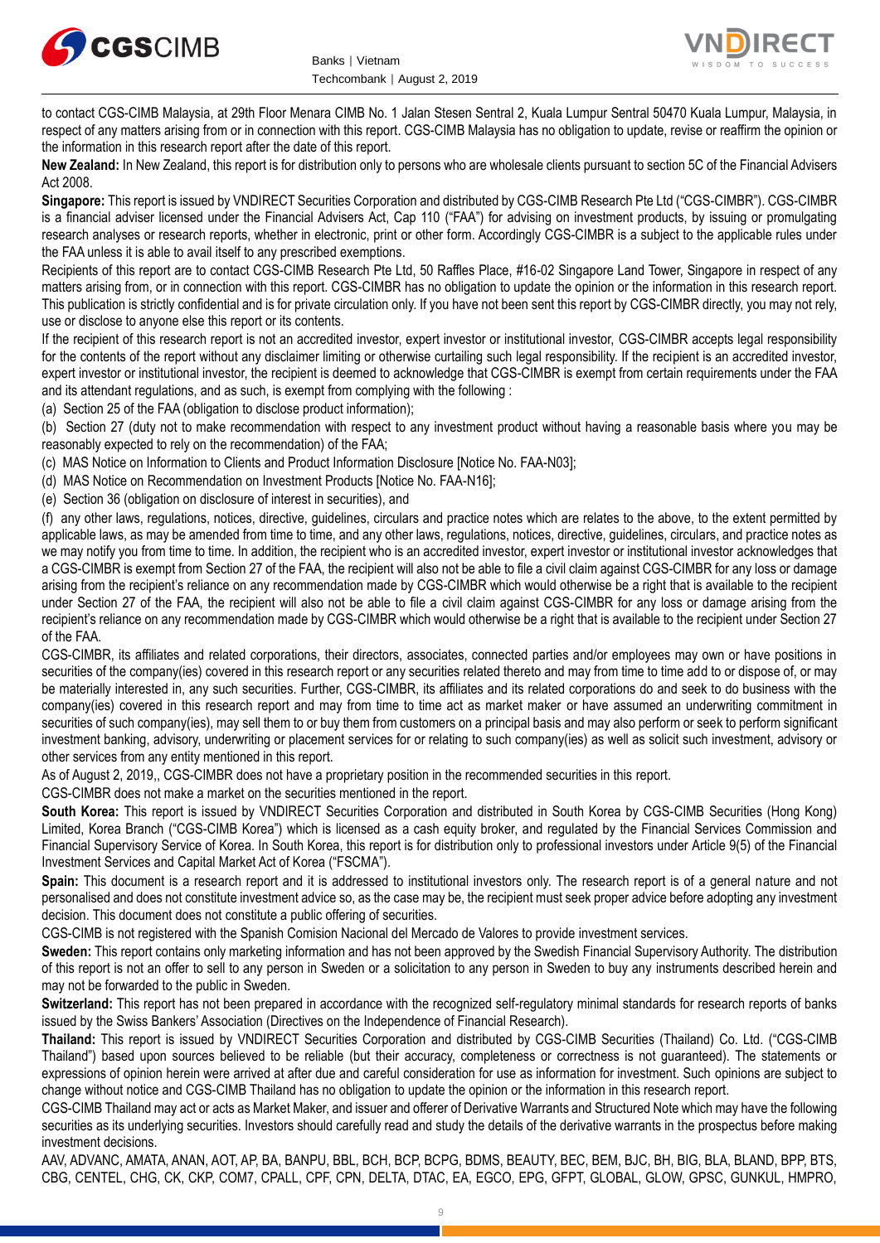



to contact CGS-CIMB Malaysia, at 29th Floor Menara CIMB No. 1 Jalan Stesen Sentral 2, Kuala Lumpur Sentral 50470 Kuala Lumpur, Malaysia, in respect of any matters arising from or in connection with this report. CGS-CIMB Malaysia has no obligation to update, revise or reaffirm the opinion or the information in this research report after the date of this report.

**New Zealand:** In New Zealand, this report is for distribution only to persons who are wholesale clients pursuant to section 5C of the Financial Advisers Act 2008.

**Singapore:** This report is issued by VNDIRECT Securities Corporation and distributed by CGS-CIMB Research Pte Ltd ("CGS-CIMBR"). CGS-CIMBR is a financial adviser licensed under the Financial Advisers Act, Cap 110 ("FAA") for advising on investment products, by issuing or promulgating research analyses or research reports, whether in electronic, print or other form. Accordingly CGS-CIMBR is a subject to the applicable rules under the FAA unless it is able to avail itself to any prescribed exemptions.

Recipients of this report are to contact CGS-CIMB Research Pte Ltd, 50 Raffles Place, #16-02 Singapore Land Tower, Singapore in respect of any matters arising from, or in connection with this report. CGS-CIMBR has no obligation to update the opinion or the information in this research report. This publication is strictly confidential and is for private circulation only. If you have not been sent this report by CGS-CIMBR directly, you may not rely, use or disclose to anyone else this report or its contents.

If the recipient of this research report is not an accredited investor, expert investor or institutional investor, CGS-CIMBR accepts legal responsibility for the contents of the report without any disclaimer limiting or otherwise curtailing such legal responsibility. If the recipient is an accredited investor, expert investor or institutional investor, the recipient is deemed to acknowledge that CGS-CIMBR is exempt from certain requirements under the FAA and its attendant regulations, and as such, is exempt from complying with the following :

(a) Section 25 of the FAA (obligation to disclose product information);

(b) Section 27 (duty not to make recommendation with respect to any investment product without having a reasonable basis where you may be reasonably expected to rely on the recommendation) of the FAA;

(c) MAS Notice on Information to Clients and Product Information Disclosure [Notice No. FAA-N03];

(d) MAS Notice on Recommendation on Investment Products [Notice No. FAA-N16];

(e) Section 36 (obligation on disclosure of interest in securities), and

(f) any other laws, regulations, notices, directive, guidelines, circulars and practice notes which are relates to the above, to the extent permitted by applicable laws, as may be amended from time to time, and any other laws, regulations, notices, directive, guidelines, circulars, and practice notes as we may notify you from time to time. In addition, the recipient who is an accredited investor, expert investor or institutional investor acknowledges that a CGS-CIMBR is exempt from Section 27 of the FAA, the recipient will also not be able to file a civil claim against CGS-CIMBR for any loss or damage arising from the recipient's reliance on any recommendation made by CGS-CIMBR which would otherwise be a right that is available to the recipient under Section 27 of the FAA, the recipient will also not be able to file a civil claim against CGS-CIMBR for any loss or damage arising from the recipient's reliance on any recommendation made by CGS-CIMBR which would otherwise be a right that is available to the recipient under Section 27 of the FAA.

CGS-CIMBR, its affiliates and related corporations, their directors, associates, connected parties and/or employees may own or have positions in securities of the company(ies) covered in this research report or any securities related thereto and may from time to time add to or dispose of, or may be materially interested in, any such securities. Further, CGS-CIMBR, its affiliates and its related corporations do and seek to do business with the company(ies) covered in this research report and may from time to time act as market maker or have assumed an underwriting commitment in securities of such company(ies), may sell them to or buy them from customers on a principal basis and may also perform or seek to perform significant investment banking, advisory, underwriting or placement services for or relating to such company(ies) as well as solicit such investment, advisory or other services from any entity mentioned in this report.

As of August 2, 2019,, CGS-CIMBR does not have a proprietary position in the recommended securities in this report.

CGS-CIMBR does not make a market on the securities mentioned in the report.

**South Korea:** This report is issued by VNDIRECT Securities Corporation and distributed in South Korea by CGS-CIMB Securities (Hong Kong) Limited, Korea Branch ("CGS-CIMB Korea") which is licensed as a cash equity broker, and regulated by the Financial Services Commission and Financial Supervisory Service of Korea. In South Korea, this report is for distribution only to professional investors under Article 9(5) of the Financial Investment Services and Capital Market Act of Korea ("FSCMA").

**Spain:** This document is a research report and it is addressed to institutional investors only. The research report is of a general nature and not personalised and does not constitute investment advice so, as the case may be, the recipient must seek proper advice before adopting any investment decision. This document does not constitute a public offering of securities.

CGS-CIMB is not registered with the Spanish Comision Nacional del Mercado de Valores to provide investment services.

**Sweden:** This report contains only marketing information and has not been approved by the Swedish Financial Supervisory Authority. The distribution of this report is not an offer to sell to any person in Sweden or a solicitation to any person in Sweden to buy any instruments described herein and may not be forwarded to the public in Sweden.

**Switzerland:** This report has not been prepared in accordance with the recognized self-regulatory minimal standards for research reports of banks issued by the Swiss Bankers' Association (Directives on the Independence of Financial Research).

**Thailand:** This report is issued by VNDIRECT Securities Corporation and distributed by CGS-CIMB Securities (Thailand) Co. Ltd. ("CGS-CIMB Thailand") based upon sources believed to be reliable (but their accuracy, completeness or correctness is not guaranteed). The statements or expressions of opinion herein were arrived at after due and careful consideration for use as information for investment. Such opinions are subject to change without notice and CGS-CIMB Thailand has no obligation to update the opinion or the information in this research report.

CGS-CIMB Thailand may act or acts as Market Maker, and issuer and offerer of Derivative Warrants and Structured Note which may have the following securities as its underlying securities. Investors should carefully read and study the details of the derivative warrants in the prospectus before making investment decisions.

AAV, ADVANC, AMATA, ANAN, AOT, AP, BA, BANPU, BBL, BCH, BCP, BCPG, BDMS, BEAUTY, BEC, BEM, BJC, BH, BIG, BLA, BLAND, BPP, BTS, CBG, CENTEL, CHG, CK, CKP, COM7, CPALL, CPF, CPN, DELTA, DTAC, EA, EGCO, EPG, GFPT, GLOBAL, GLOW, GPSC, GUNKUL, HMPRO,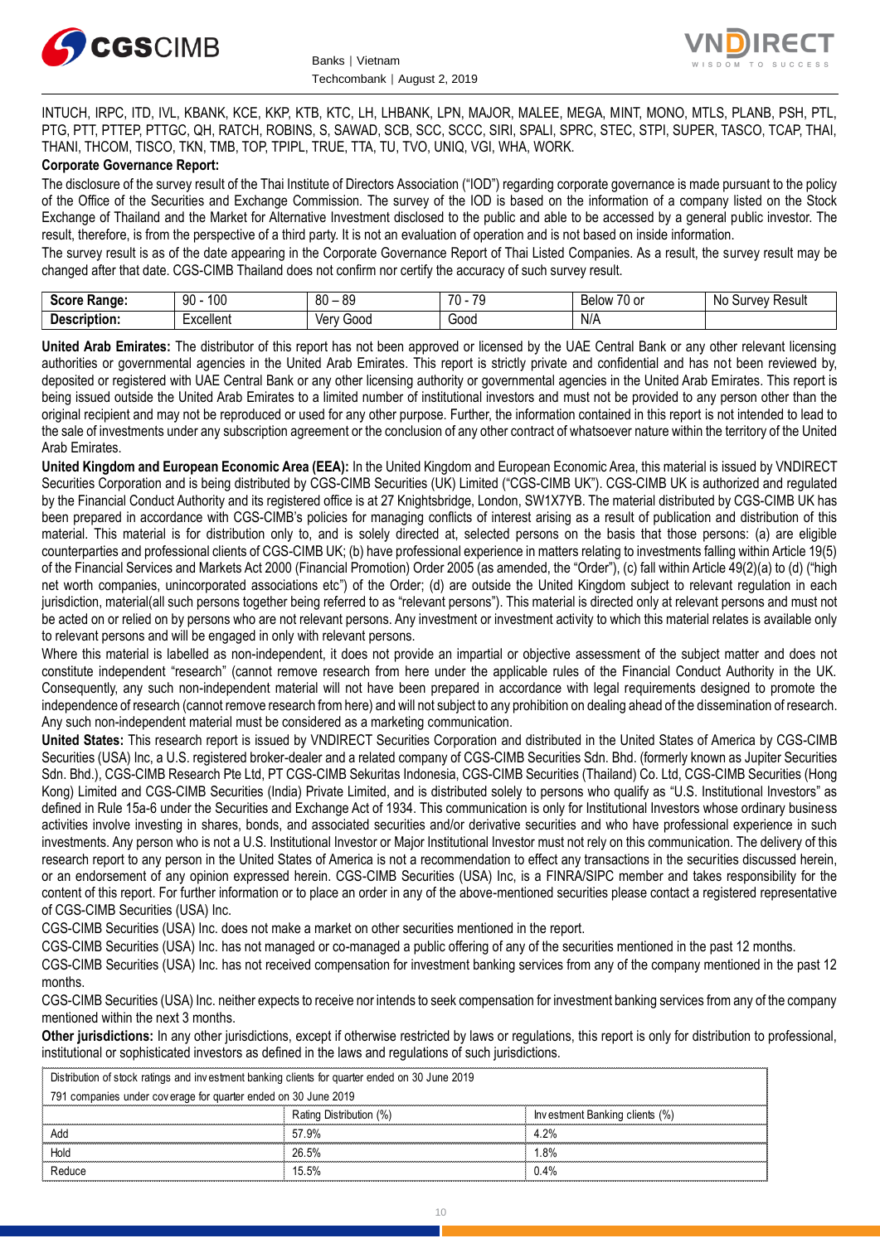



INTUCH, IRPC, ITD, IVL, KBANK, KCE, KKP, KTB, KTC, LH, LHBANK, LPN, MAJOR, MALEE, MEGA, MINT, MONO, MTLS, PLANB, PSH, PTL, PTG, PTT, PTTEP, PTTGC, QH, RATCH, ROBINS, S, SAWAD, SCB, SCC, SCCC, SIRI, SPALI, SPRC, STEC, STPI, SUPER, TASCO, TCAP, THAI, THANI, THCOM, TISCO, TKN, TMB, TOP, TPIPL, TRUE, TTA, TU, TVO, UNIQ, VGI, WHA, WORK.

#### **Corporate Governance Report:**

The disclosure of the survey result of the Thai Institute of Directors Association ("IOD") regarding corporate governance is made pursuant to the policy of the Office of the Securities and Exchange Commission. The survey of the IOD is based on the information of a company listed on the Stock Exchange of Thailand and the Market for Alternative Investment disclosed to the public and able to be accessed by a general public investor. The result, therefore, is from the perspective of a third party. It is not an evaluation of operation and is not based on inside information.

The survey result is as of the date appearing in the Corporate Governance Report of Thai Listed Companies. As a result, the survey result may be changed after that date. CGS-CIMB Thailand does not confirm nor certify the accuracy of such survey result.

| <b>Score</b><br><b>Range:</b>   | 100<br>۵N<br>ινν<br>ĴU | <b>RC</b><br>80      | 70<br>$\overline{\phantom{a}}$<br>. | $\overline{\phantom{a}}$<br>$\sim$<br>RAIOW<br><b>DEIOV</b><br>′∪ ∪i | N0<br>Result<br>∵urvev⊔د |
|---------------------------------|------------------------|----------------------|-------------------------------------|----------------------------------------------------------------------|--------------------------|
| -<br><b>Descrip</b><br>ription. | Excellent              | 000خ<br>ver l<br>' M | Good<br>.                           | N/A<br>the contract of the contract of the contract of               |                          |

**United Arab Emirates:** The distributor of this report has not been approved or licensed by the UAE Central Bank or any other relevant licensing authorities or governmental agencies in the United Arab Emirates. This report is strictly private and confidential and has not been reviewed by, deposited or registered with UAE Central Bank or any other licensing authority or governmental agencies in the United Arab Emirates. This report is being issued outside the United Arab Emirates to a limited number of institutional investors and must not be provided to any person other than the original recipient and may not be reproduced or used for any other purpose. Further, the information contained in this report is not intended to lead to the sale of investments under any subscription agreement or the conclusion of any other contract of whatsoever nature within the territory of the United Arab Emirates.

**United Kingdom and European Economic Area (EEA):** In the United Kingdom and European Economic Area, this material is issued by VNDIRECT Securities Corporation and is being distributed by CGS-CIMB Securities (UK) Limited ("CGS-CIMB UK"). CGS-CIMB UK is authorized and regulated by the Financial Conduct Authority and its registered office is at 27 Knightsbridge, London, SW1X7YB. The material distributed by CGS-CIMB UK has been prepared in accordance with CGS-CIMB's policies for managing conflicts of interest arising as a result of publication and distribution of this material. This material is for distribution only to, and is solely directed at, selected persons on the basis that those persons: (a) are eligible counterparties and professional clients of CGS-CIMB UK; (b) have professional experience in matters relating to investments falling within Article 19(5) of the Financial Services and Markets Act 2000 (Financial Promotion) Order 2005 (as amended, the "Order"), (c) fall within Article 49(2)(a) to (d) ("high net worth companies, unincorporated associations etc") of the Order; (d) are outside the United Kingdom subject to relevant regulation in each jurisdiction, material(all such persons together being referred to as "relevant persons"). This material is directed only at relevant persons and must not be acted on or relied on by persons who are not relevant persons. Any investment or investment activity to which this material relates is available only to relevant persons and will be engaged in only with relevant persons.

Where this material is labelled as non-independent, it does not provide an impartial or objective assessment of the subject matter and does not constitute independent "research" (cannot remove research from here under the applicable rules of the Financial Conduct Authority in the UK. Consequently, any such non-independent material will not have been prepared in accordance with legal requirements designed to promote the independence of research (cannot remove research from here) and will not subject to any prohibition on dealing ahead of the dissemination of research. Any such non-independent material must be considered as a marketing communication.

**United States:** This research report is issued by VNDIRECT Securities Corporation and distributed in the United States of America by CGS-CIMB Securities (USA) Inc, a U.S. registered broker-dealer and a related company of CGS-CIMB Securities Sdn. Bhd. (formerly known as Jupiter Securities Sdn. Bhd.), CGS-CIMB Research Pte Ltd, PT CGS-CIMB Sekuritas Indonesia, CGS-CIMB Securities (Thailand) Co. Ltd, CGS-CIMB Securities (Hong Kong) Limited and CGS-CIMB Securities (India) Private Limited, and is distributed solely to persons who qualify as "U.S. Institutional Investors" as defined in Rule 15a-6 under the Securities and Exchange Act of 1934. This communication is only for Institutional Investors whose ordinary business activities involve investing in shares, bonds, and associated securities and/or derivative securities and who have professional experience in such investments. Any person who is not a U.S. Institutional Investor or Major Institutional Investor must not rely on this communication. The delivery of this research report to any person in the United States of America is not a recommendation to effect any transactions in the securities discussed herein, or an endorsement of any opinion expressed herein. CGS-CIMB Securities (USA) Inc, is a FINRA/SIPC member and takes responsibility for the content of this report. For further information or to place an order in any of the above-mentioned securities please contact a registered representative of CGS-CIMB Securities (USA) Inc.

CGS-CIMB Securities (USA) Inc. does not make a market on other securities mentioned in the report.

CGS-CIMB Securities (USA) Inc. has not managed or co-managed a public offering of any of the securities mentioned in the past 12 months.

CGS-CIMB Securities (USA) Inc. has not received compensation for investment banking services from any of the company mentioned in the past 12 months.

CGS-CIMB Securities (USA) Inc. neither expects to receive nor intends to seek compensation for investment banking services from any of the company mentioned within the next 3 months.

**Other jurisdictions:** In any other jurisdictions, except if otherwise restricted by laws or regulations, this report is only for distribution to professional, institutional or sophisticated investors as defined in the laws and regulations of such jurisdictions. entioned within the next 3 months.<br> **ther jurisdictions:** In any other jurisdictions, except if otherwise restricted by lastitutional or sophisticated investors as defined in the laws and regulations of substribution of st

Partial In the laws and regulations of such jurisdictions.<br>
lients for quarter ended on 30 June 2019<br>
30 June 2019<br>
Rating Distribution (%)<br>
Rating Distribution (%)<br>
Fig. 0% **ther jurisdictions:** In any other jurisdictions, except if of stitutional or sophisticated investors as defined in the law<br>Distribution of stock ratings and investment banking clients for quarter and 2019<br>791 companies un

|  |        | Rating Distribution (%, | Investment Banking clients (%) |  |
|--|--------|-------------------------|--------------------------------|--|
|  | Add    | .9%<br>57               |                                |  |
|  | Holc   | 26.5%                   | .8%                            |  |
|  | Reduce | 15.5%                   | J.4%                           |  |
|  |        |                         |                                |  |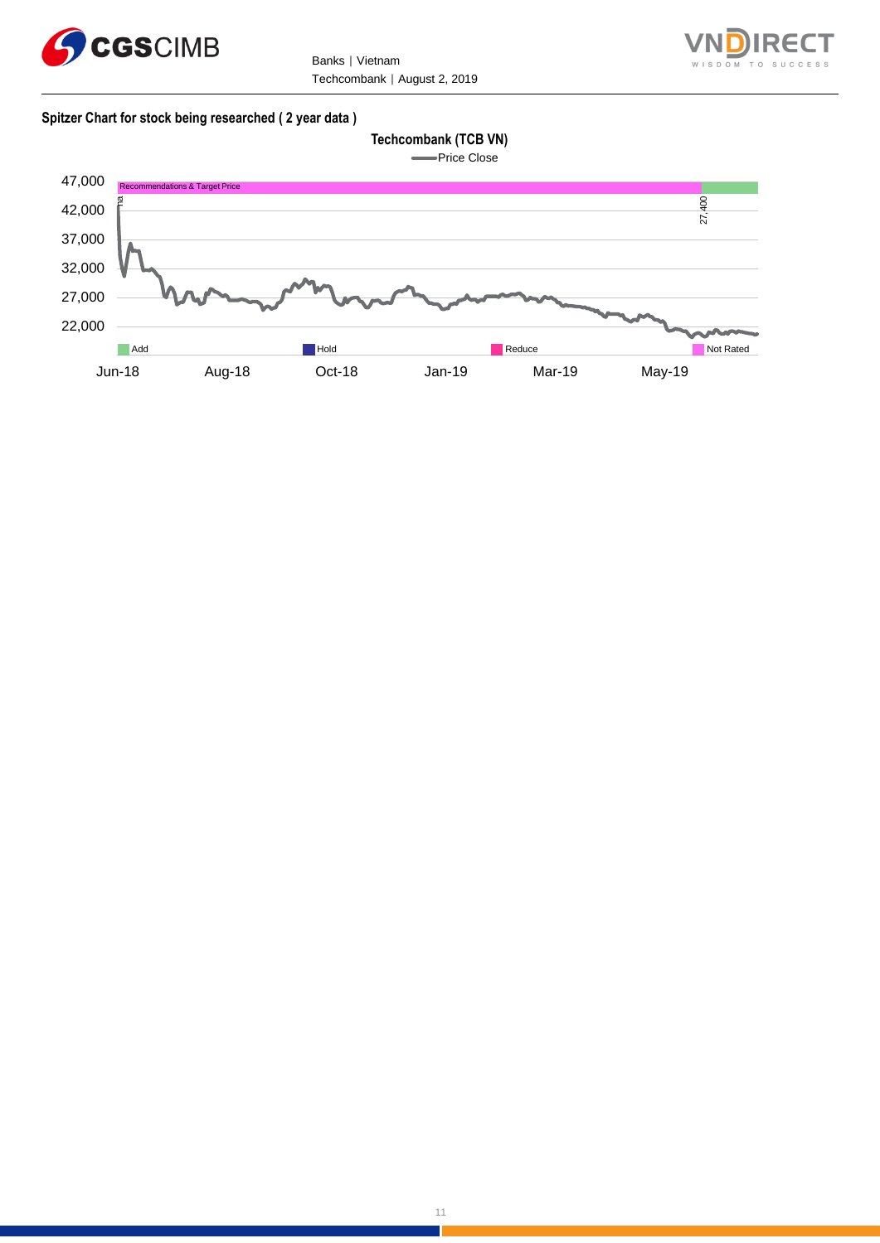

Banks | Vietnam Techcombank | August 2, 2019



#### **Spitzer Chart for stock being researched ( 2 year data )**

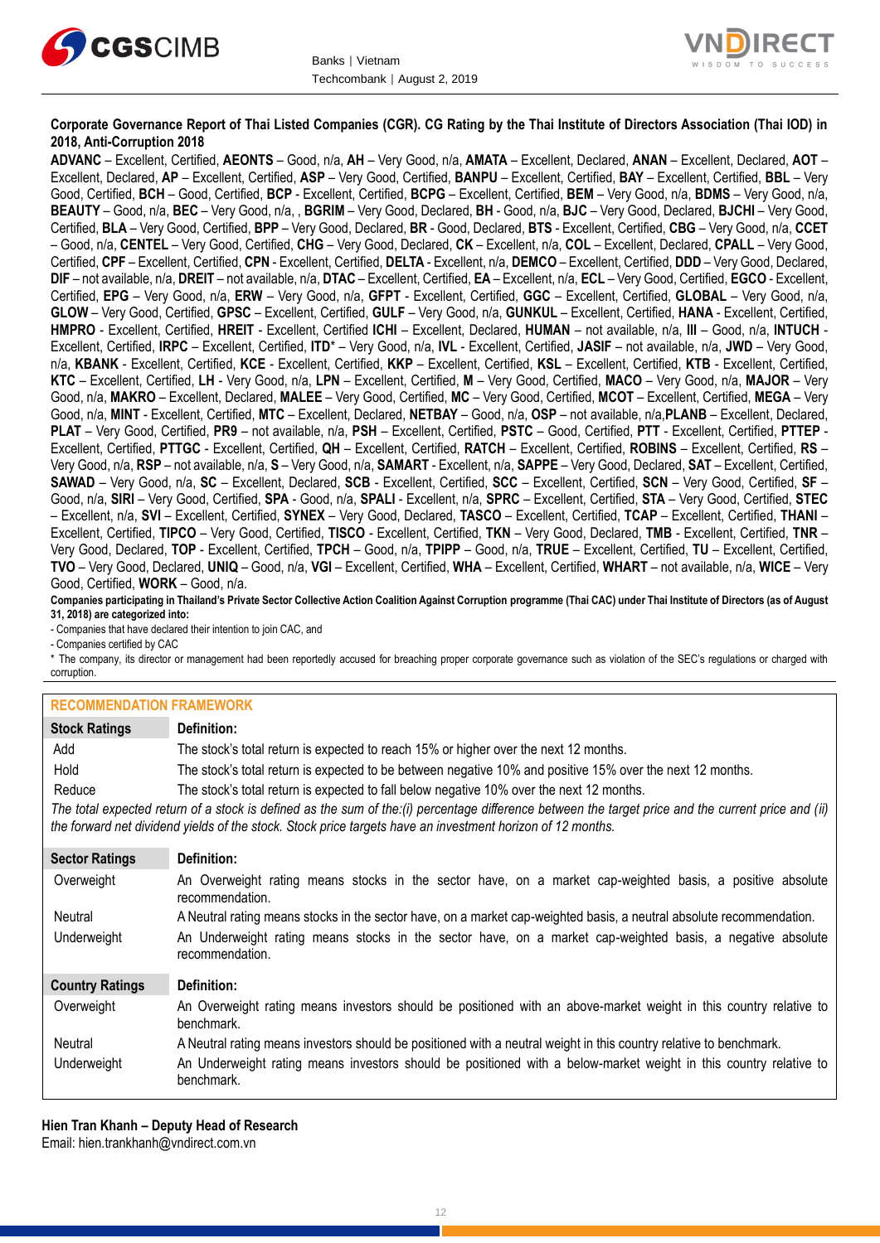



#### **Corporate Governance Report of Thai Listed Companies (CGR). CG Rating by the Thai Institute of Directors Association (Thai IOD) in 2018, Anti-Corruption 2018**

**ADVANC** – Excellent, Certified, **AEONTS** – Good, n/a, **AH** – Very Good, n/a, **AMATA** – Excellent, Declared, **ANAN** – Excellent, Declared, **AOT** – Excellent, Declared, **AP** – Excellent, Certified, **ASP** – Very Good, Certified, **BANPU** – Excellent, Certified, **BAY** – Excellent, Certified, **BBL** – Very Good, Certified, **BCH** – Good, Certified, **BCP** - Excellent, Certified, **BCPG** – Excellent, Certified, **BEM** – Very Good, n/a, **BDMS** – Very Good, n/a, **BEAUTY** – Good, n/a, **BEC** – Very Good, n/a, , **BGRIM** – Very Good, Declared, **BH** - Good, n/a, **BJC** – Very Good, Declared, **BJCHI** – Very Good, Certified, **BLA** – Very Good, Certified, **BPP** – Very Good, Declared, **BR** - Good, Declared, **BTS** - Excellent, Certified, **CBG** – Very Good, n/a, **CCET** – Good, n/a, **CENTEL** – Very Good, Certified, **CHG** – Very Good, Declared, **CK** – Excellent, n/a, **COL** – Excellent, Declared, **CPALL** – Very Good, Certified, **CPF** – Excellent, Certified, **CPN** - Excellent, Certified, **DELTA** - Excellent, n/a, **DEMCO** – Excellent, Certified, **DDD** – Very Good, Declared, **DIF** – not available, n/a, **DREIT** – not available, n/a, **DTAC** – Excellent, Certified, **EA** – Excellent, n/a, **ECL** – Very Good, Certified, **EGCO** - Excellent, Certified, **EPG** – Very Good, n/a, **ERW** – Very Good, n/a, **GFPT** - Excellent, Certified, **GGC** – Excellent, Certified, **GLOBAL** – Very Good, n/a, **GLOW** – Very Good, Certified, **GPSC** – Excellent, Certified, **GULF** – Very Good, n/a, **GUNKUL** – Excellent, Certified, **HANA** - Excellent, Certified, **HMPRO** - Excellent, Certified, **HREIT** - Excellent, Certified **ICHI** – Excellent, Declared, **HUMAN** – not available, n/a, **III** – Good, n/a, **INTUCH** - Excellent, Certified, **IRPC** – Excellent, Certified, **ITD**\* – Very Good, n/a, **IVL** - Excellent, Certified, **JASIF** – not available, n/a, **JWD** – Very Good, n/a, **KBANK** - Excellent, Certified, **KCE** - Excellent, Certified, **KKP** – Excellent, Certified, **KSL** – Excellent, Certified, **KTB** - Excellent, Certified, **KTC** – Excellent, Certified, **LH** - Very Good, n/a, **LPN** – Excellent, Certified, **M** – Very Good, Certified, **MACO** – Very Good, n/a, **MAJOR** – Very Good, n/a, **MAKRO** – Excellent, Declared, **MALEE** – Very Good, Certified, **MC** – Very Good, Certified, **MCOT** – Excellent, Certified, **MEGA** – Very Good, n/a, **MINT** - Excellent, Certified, **MTC** – Excellent, Declared, **NETBAY** – Good, n/a, **OSP** – not available, n/a,**PLANB** – Excellent, Declared, **PLAT** – Very Good, Certified, **PR9** – not available, n/a, **PSH** – Excellent, Certified, **PSTC** – Good, Certified, **PTT** - Excellent, Certified, **PTTEP** - Excellent, Certified, **PTTGC** - Excellent, Certified, **QH** – Excellent, Certified, **RATCH** – Excellent, Certified, **ROBINS** – Excellent, Certified, **RS** – Very Good, n/a, **RSP** – not available, n/a, **S** – Very Good, n/a, **SAMART** - Excellent, n/a, **SAPPE** – Very Good, Declared, **SAT** – Excellent, Certified, **SAWAD** – Very Good, n/a, **SC** – Excellent, Declared, **SCB** - Excellent, Certified, **SCC** – Excellent, Certified, **SCN** – Very Good, Certified, **SF** – Good, n/a, **SIRI** – Very Good, Certified, **SPA** - Good, n/a, **SPALI** - Excellent, n/a, **SPRC** – Excellent, Certified, **STA** – Very Good, Certified, **STEC** – Excellent, n/a, **SVI** – Excellent, Certified, **SYNEX** – Very Good, Declared, **TASCO** – Excellent, Certified, **TCAP** – Excellent, Certified, **THANI** – Excellent, Certified, **TIPCO** – Very Good, Certified, **TISCO** - Excellent, Certified, **TKN** – Very Good, Declared, **TMB** - Excellent, Certified, **TNR** – Very Good, Declared, **TOP** - Excellent, Certified, **TPCH** – Good, n/a, **TPIPP** – Good, n/a, **TRUE** – Excellent, Certified, **TU** – Excellent, Certified, **TVO** – Very Good, Declared, **UNIQ** – Good, n/a, **VGI** – Excellent, Certified, **WHA** – Excellent, Certified, **WHART** – not available, n/a, **WICE** – Very Good, Certified, **WORK** – Good, n/a.

**Companies participating in Thailand's Private Sector Collective Action Coalition Against Corruption programme (Thai CAC) under Thai Institute of Directors (as of August 31, 2018) are categorized into:**

- Companies that have declared their intention to join CAC, and

- Companies certified by CAC

\* The company, its director or management had been reportedly accused for breaching proper corporate governance such as violation of the SEC's regulations or charged with corruption.

#### **RECOMMENDATION FRAMEWORK**

| ▎▚▙VV∭∭▙▎▚ <i>₽▛</i> ▎▎▎V}▏▏▏▎₩▚▒▙▘▛▎▚▎▏ |                                                                                                                                                                                                                                                                   |
|------------------------------------------|-------------------------------------------------------------------------------------------------------------------------------------------------------------------------------------------------------------------------------------------------------------------|
| <b>Stock Ratings</b>                     | Definition:                                                                                                                                                                                                                                                       |
| Add                                      | The stock's total return is expected to reach 15% or higher over the next 12 months.                                                                                                                                                                              |
| Hold                                     | The stock's total return is expected to be between negative 10% and positive 15% over the next 12 months.                                                                                                                                                         |
| Reduce                                   | The stock's total return is expected to fall below negative 10% over the next 12 months.                                                                                                                                                                          |
|                                          | The total expected return of a stock is defined as the sum of the:(i) percentage difference between the target price and the current price and (ii)<br>the forward net dividend yields of the stock. Stock price targets have an investment horizon of 12 months. |
| <b>Sector Ratings</b>                    | Definition:                                                                                                                                                                                                                                                       |
| Overweight                               | An Overweight rating means stocks in the sector have, on a market cap-weighted basis, a positive absolute<br>recommendation.                                                                                                                                      |
| Neutral                                  | A Neutral rating means stocks in the sector have, on a market cap-weighted basis, a neutral absolute recommendation.                                                                                                                                              |
| Underweight                              | An Underweight rating means stocks in the sector have, on a market cap-weighted basis, a negative absolute<br>recommendation.                                                                                                                                     |
| <b>Country Ratings</b>                   | Definition:                                                                                                                                                                                                                                                       |
| Overweight                               | An Overweight rating means investors should be positioned with an above-market weight in this country relative to<br>benchmark.                                                                                                                                   |
| Neutral                                  | A Neutral rating means investors should be positioned with a neutral weight in this country relative to benchmark.                                                                                                                                                |
| Underweight                              | An Underweight rating means investors should be positioned with a below-market weight in this country relative to<br>benchmark.                                                                                                                                   |

**Hien Tran Khanh – Deputy Head of Research** Email: [hien.trankhanh@vndirect.com.vn](mailto:hien.trankhanh@vndirect.com.vn)